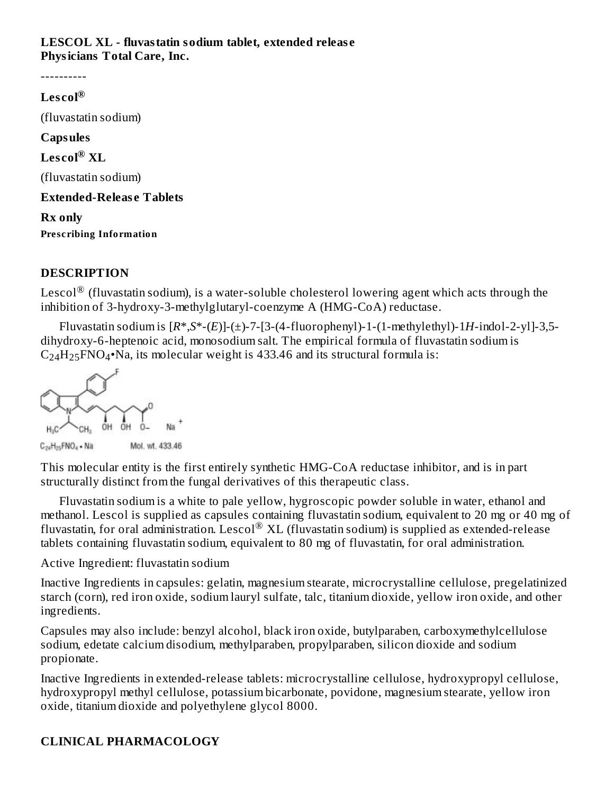#### **LESCOL XL - fluvastatin sodium tablet, extended releas e Physicians Total Care, Inc.**

----------

# **Les col ®** (fluvastatin sodium) **Capsules**  $\mathbf{L}\mathbf{es}\mathbf{col}^{\circledR}\mathbf{XL}$ (fluvastatin sodium) **Extended-Releas e Tablets Rx only Prescribing Information**

### **DESCRIPTION**

Lescol $^\circledR$  (fluvastatin sodium), is a water-soluble cholesterol lowering agent which acts through the inhibition of 3-hydroxy-3-methylglutaryl-coenzyme A (HMG-CoA) reductase.

Fluvastatin sodium is  $[R^*,S^*-(E)]-(\pm)$ -7-[3-(4-fluorophenyl)-1-(1-methylethyl)-1*H*-indol-2-yl]-3,5dihydroxy-6-heptenoic acid, monosodium salt. The empirical formula of fluvastatin sodium is  $C_{24}H_{25}FNO_4\cdot$ Na, its molecular weight is 433.46 and its structural formula is:



This molecular entity is the first entirely synthetic HMG-CoA reductase inhibitor, and is in part structurally distinct from the fungal derivatives of this therapeutic class.

Fluvastatin sodium is a white to pale yellow, hygroscopic powder soluble in water, ethanol and methanol. Lescol is supplied as capsules containing fluvastatin sodium, equivalent to 20 mg or 40 mg of fluvastatin, for oral administration. Lescol® XL (fluvastatin sodium) is supplied as extended-release tablets containing fluvastatin sodium, equivalent to 80 mg of fluvastatin, for oral administration.

Active Ingredient: fluvastatin sodium

Inactive Ingredients in capsules: gelatin, magnesium stearate, microcrystalline cellulose, pregelatinized starch (corn), red iron oxide, sodium lauryl sulfate, talc, titanium dioxide, yellow iron oxide, and other ingredients.

Capsules may also include: benzyl alcohol, black iron oxide, butylparaben, carboxymethylcellulose sodium, edetate calcium disodium, methylparaben, propylparaben, silicon dioxide and sodium propionate.

Inactive Ingredients in extended-release tablets: microcrystalline cellulose, hydroxypropyl cellulose, hydroxypropyl methyl cellulose, potassium bicarbonate, povidone, magnesium stearate, yellow iron oxide, titanium dioxide and polyethylene glycol 8000.

### **CLINICAL PHARMACOLOGY**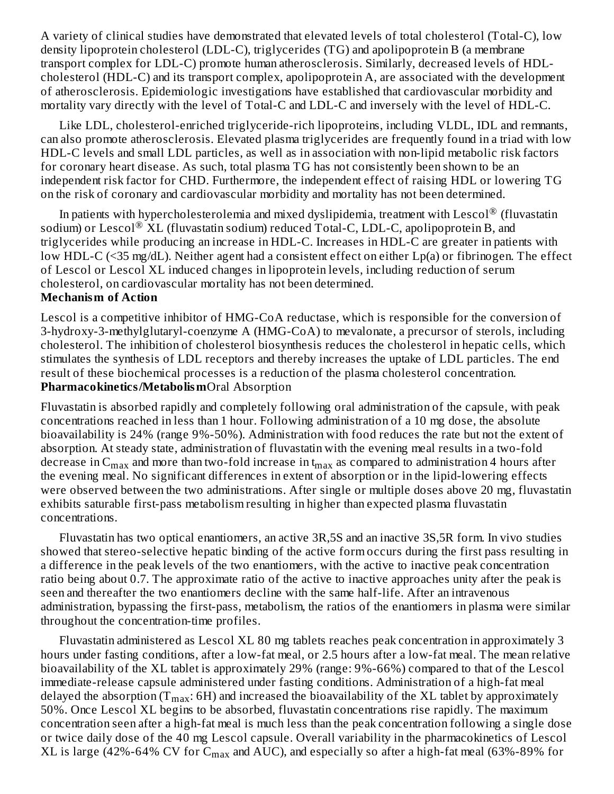A variety of clinical studies have demonstrated that elevated levels of total cholesterol (Total-C), low density lipoprotein cholesterol (LDL-C), triglycerides (TG) and apolipoprotein B (a membrane transport complex for LDL-C) promote human atherosclerosis. Similarly, decreased levels of HDLcholesterol (HDL-C) and its transport complex, apolipoprotein A, are associated with the development of atherosclerosis. Epidemiologic investigations have established that cardiovascular morbidity and mortality vary directly with the level of Total-C and LDL-C and inversely with the level of HDL-C.

Like LDL, cholesterol-enriched triglyceride-rich lipoproteins, including VLDL, IDL and remnants, can also promote atherosclerosis. Elevated plasma triglycerides are frequently found in a triad with low HDL-C levels and small LDL particles, as well as in association with non-lipid metabolic risk factors for coronary heart disease. As such, total plasma TG has not consistently been shown to be an independent risk factor for CHD. Furthermore, the independent effect of raising HDL or lowering TG on the risk of coronary and cardiovascular morbidity and mortality has not been determined.

In patients with hypercholesterolemia and mixed dyslipidemia, treatment with Lescol $^\circledR$  (fluvastatin sodium) or Lescol $^\circledR$  XL (fluvastatin sodium) reduced Total-C, LDL-C, apolipoprotein B, and triglycerides while producing an increase in HDL-C. Increases in HDL-C are greater in patients with low HDL-C (<35 mg/dL). Neither agent had a consistent effect on either Lp(a) or fibrinogen. The effect of Lescol or Lescol XL induced changes in lipoprotein levels, including reduction of serum cholesterol, on cardiovascular mortality has not been determined. **Mechanism of Action**

Lescol is a competitive inhibitor of HMG-CoA reductase, which is responsible for the conversion of 3-hydroxy-3-methylglutaryl-coenzyme A (HMG-CoA) to mevalonate, a precursor of sterols, including cholesterol. The inhibition of cholesterol biosynthesis reduces the cholesterol in hepatic cells, which stimulates the synthesis of LDL receptors and thereby increases the uptake of LDL particles. The end result of these biochemical processes is a reduction of the plasma cholesterol concentration. **Pharmacokinetics/Metabolism**Oral Absorption

Fluvastatin is absorbed rapidly and completely following oral administration of the capsule, with peak concentrations reached in less than 1 hour. Following administration of a 10 mg dose, the absolute bioavailability is 24% (range 9%-50%). Administration with food reduces the rate but not the extent of absorption. At steady state, administration of fluvastatin with the evening meal results in a two-fold decrease in  $\rm{C_{max}}$  and more than two-fold increase in t $_{\rm{max}}$  as compared to administration 4 hours after the evening meal. No significant differences in extent of absorption or in the lipid-lowering effects were observed between the two administrations. After single or multiple doses above 20 mg, fluvastatin exhibits saturable first-pass metabolism resulting in higher than expected plasma fluvastatin concentrations.

Fluvastatin has two optical enantiomers, an active 3R,5S and an inactive 3S,5R form. In vivo studies showed that stereo-selective hepatic binding of the active form occurs during the first pass resulting in a difference in the peak levels of the two enantiomers, with the active to inactive peak concentration ratio being about 0.7. The approximate ratio of the active to inactive approaches unity after the peak is seen and thereafter the two enantiomers decline with the same half-life. After an intravenous administration, bypassing the first-pass, metabolism, the ratios of the enantiomers in plasma were similar throughout the concentration-time profiles.

Fluvastatin administered as Lescol XL 80 mg tablets reaches peak concentration in approximately 3 hours under fasting conditions, after a low-fat meal, or 2.5 hours after a low-fat meal. The mean relative bioavailability of the XL tablet is approximately 29% (range: 9%-66%) compared to that of the Lescol immediate-release capsule administered under fasting conditions. Administration of a high-fat meal delayed the absorption (T $_{\rm max}$ : 6H) and increased the bioavailability of the XL tablet by approximately 50%. Once Lescol XL begins to be absorbed, fluvastatin concentrations rise rapidly. The maximum concentration seen after a high-fat meal is much less than the peak concentration following a single dose or twice daily dose of the 40 mg Lescol capsule. Overall variability in the pharmacokinetics of Lescol XL is large (42%-64% CV for  $\rm{C_{max}}$  and AUC), and especially so after a high-fat meal (63%-89% for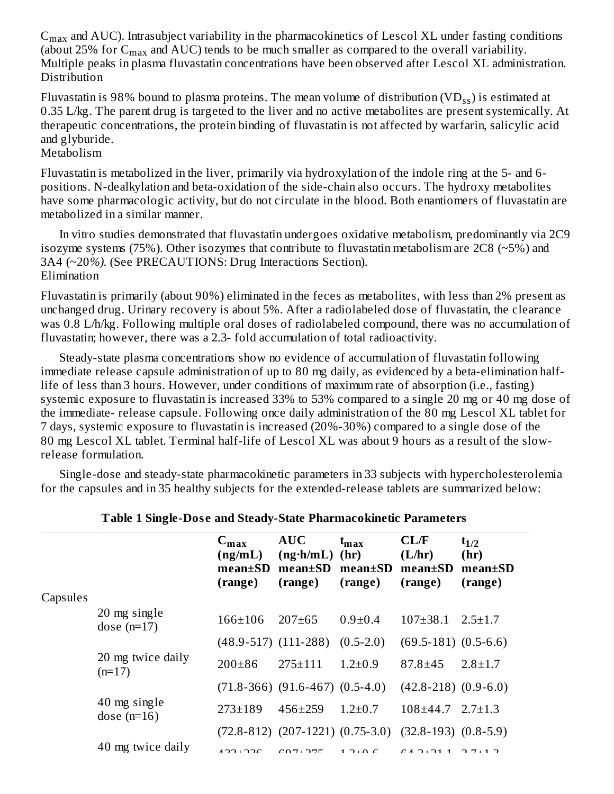$C<sub>max</sub>$  and AUC). Intrasubject variability in the pharmacokinetics of Lescol XL under fasting conditions (about 25% for  $C_{\rm max}$  and AUC) tends to be much smaller as compared to the overall variability. Multiple peaks in plasma fluvastatin concentrations have been observed after Lescol XL administration. Distribution ...<sub>...</sub>. max

Fluvastatin is 98% bound to plasma proteins. The mean volume of distribution (VD $_{\rm ss}$ ) is estimated at 0.35 L/kg. The parent drug is targeted to the liver and no active metabolites are present systemically. At therapeutic concentrations, the protein binding of fluvastatin is not affected by warfarin, salicylic acid and glyburide.

#### Metabolism

Fluvastatin is metabolized in the liver, primarily via hydroxylation of the indole ring at the 5- and 6 positions. N-dealkylation and beta-oxidation of the side-chain also occurs. The hydroxy metabolites have some pharmacologic activity, but do not circulate in the blood. Both enantiomers of fluvastatin are metabolized in a similar manner.

In vitro studies demonstrated that fluvastatin undergoes oxidative metabolism, predominantly via 2C9 isozyme systems (75%). Other isozymes that contribute to fluvastatin metabolism are  $2C8$  ( $\sim$ 5%) and 3A4 (~20*%).* (See PRECAUTIONS: Drug Interactions Section). Elimination

Fluvastatin is primarily (about 90%) eliminated in the feces as metabolites, with less than 2% present as unchanged drug. Urinary recovery is about 5%. After a radiolabeled dose of fluvastatin, the clearance was 0.8 L/h/kg. Following multiple oral doses of radiolabeled compound, there was no accumulation of fluvastatin; however, there was a 2.3- fold accumulation of total radioactivity.

Steady-state plasma concentrations show no evidence of accumulation of fluvastatin following immediate release capsule administration of up to 80 mg daily, as evidenced by a beta-elimination halflife of less than 3 hours. However, under conditions of maximum rate of absorption (i.e., fasting) systemic exposure to fluvastatin is increased 33% to 53% compared to a single 20 mg or 40 mg dose of the immediate- release capsule. Following once daily administration of the 80 mg Lescol XL tablet for 7 days, systemic exposure to fluvastatin is increased (20%-30%) compared to a single dose of the 80 mg Lescol XL tablet. Terminal half-life of Lescol XL was about 9 hours as a result of the slowrelease formulation.

Single-dose and steady-state pharmacokinetic parameters in 33 subjects with hypercholesterolemia for the capsules and in 35 healthy subjects for the extended-release tablets are summarized below:

|          |                               | $C_{\text{max}}$<br>(ng/mL)<br>$mean \pm SD$<br>(range) | <b>AUC</b><br>$(ng \cdot h/mL)$<br>$mean \pm SD$<br>(range)     | $\mathbf{t}_{\mathbf{max}}$<br>(hr)<br>$mean \pm SD$<br>(range) | CL/F<br>(L/hr)<br>$mean \pm SD$<br>(range) | $t_{1/2}$<br>(hr)<br>$mean \pm SD$<br>(range) |
|----------|-------------------------------|---------------------------------------------------------|-----------------------------------------------------------------|-----------------------------------------------------------------|--------------------------------------------|-----------------------------------------------|
| Capsules |                               |                                                         |                                                                 |                                                                 |                                            |                                               |
|          | 20 mg single<br>dose $(n=17)$ | $166 + 106$                                             | $207 \pm 65$                                                    | $0.9 \pm 0.4$                                                   | $107 \pm 38.1$                             | $2.5 \pm 1.7$                                 |
|          |                               | $(48.9 - 517)$ $(111 - 288)$                            |                                                                 | $(0.5-2.0)$                                                     | $(69.5-181)$ $(0.5-6.6)$                   |                                               |
|          | 20 mg twice daily<br>$(n=17)$ | $200 \pm 86$                                            | $275 \pm 111$                                                   | $1.2 \pm 0.9$                                                   | $87.8 \pm 45$                              | $2.8 \pm 1.7$                                 |
|          |                               |                                                         | $(71.8-366)$ $(91.6-467)$ $(0.5-4.0)$                           |                                                                 | $(42.8 - 218)$ $(0.9 - 6.0)$               |                                               |
|          | 40 mg single<br>dose $(n=16)$ | $273 \pm 189$                                           | $456 \pm 259$                                                   | $1.2 \pm 0.7$                                                   | $108 \pm 44.7$                             | $2.7 \pm 1.3$                                 |
|          |                               |                                                         | $(72.8-812)$ $(207-1221)$ $(0.75-3.0)$ $(32.8-193)$ $(0.8-5.9)$ |                                                                 |                                            |                                               |
|          | 40 mg twice daily             | 122122                                                  | COT.77C                                                         | $1.2 \cup 0.0$                                                  | $C_A$ $D_1$ $D_1$ 1                        | 7112                                          |

#### **Table 1 Single-Dos e and Steady-State Pharmacokinetic Parameters**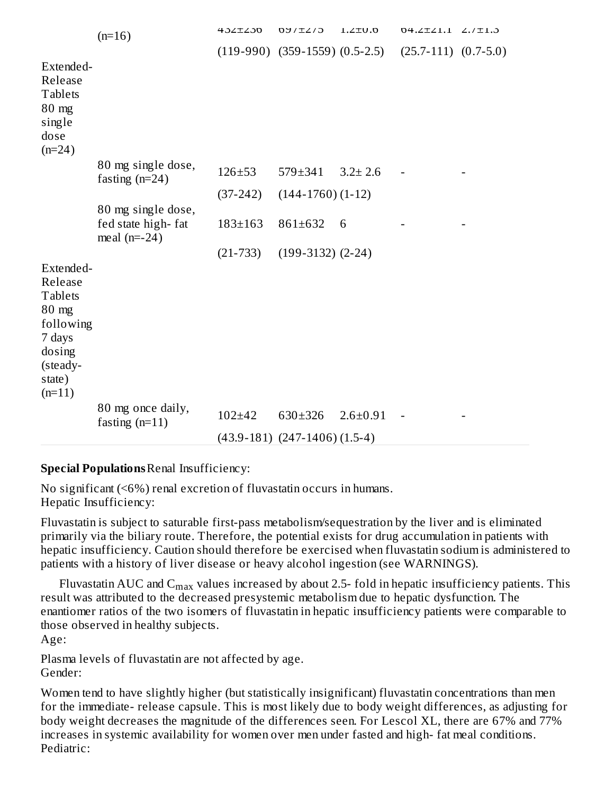|                                                                                                                    | $(n=16)$                                                   | 432±230       | <b>DY/IZ/J</b>                       | $0.012$ .1     | 04. 2 1.1 2. 1.13        |  |
|--------------------------------------------------------------------------------------------------------------------|------------------------------------------------------------|---------------|--------------------------------------|----------------|--------------------------|--|
|                                                                                                                    |                                                            |               | $(119-990)$ $(359-1559)$ $(0.5-2.5)$ |                | $(25.7-111)$ $(0.7-5.0)$ |  |
| Extended-<br>Release<br><b>Tablets</b><br>$80$ mg<br>single<br>dose<br>$(n=24)$                                    |                                                            |               |                                      |                |                          |  |
|                                                                                                                    | 80 mg single dose,<br>fasting $(n=24)$                     | $126 + 53$    | $579 \pm 341$                        | $3.2 \pm 2.6$  |                          |  |
|                                                                                                                    |                                                            | $(37-242)$    | $(144-1760)$ $(1-12)$                |                |                          |  |
|                                                                                                                    | 80 mg single dose,<br>fed state high-fat<br>meal $(n=-24)$ | $183 \pm 163$ | 861±632                              | 6              |                          |  |
|                                                                                                                    |                                                            | $(21 - 733)$  | $(199-3132)$ $(2-24)$                |                |                          |  |
| Extended-<br>Release<br><b>Tablets</b><br>80 mg<br>following<br>7 days<br>dosing<br>(steady-<br>state)<br>$(n=11)$ |                                                            |               |                                      |                |                          |  |
|                                                                                                                    | 80 mg once daily,<br>fasting $(n=11)$                      | $102 + 42$    | 630±326                              | $2.6 \pm 0.91$ |                          |  |
|                                                                                                                    |                                                            |               | $(43.9-181)$ $(247-1406)$ $(1.5-4)$  |                |                          |  |

#### **Special Populations**Renal Insufficiency:

No significant (<6%) renal excretion of fluvastatin occurs in humans. Hepatic Insufficiency:

Fluvastatin is subject to saturable first-pass metabolism/sequestration by the liver and is eliminated primarily via the biliary route. Therefore, the potential exists for drug accumulation in patients with hepatic insufficiency. Caution should therefore be exercised when fluvastatin sodium is administered to patients with a history of liver disease or heavy alcohol ingestion (see WARNINGS).

Fluvastatin AUC and  $\rm{C_{max}}$  values increased by about 2.5- fold in hepatic insufficiency patients. This result was attributed to the decreased presystemic metabolism due to hepatic dysfunction. The enantiomer ratios of the two isomers of fluvastatin in hepatic insufficiency patients were comparable to those observed in healthy subjects.

Age:

Plasma levels of fluvastatin are not affected by age. Gender:

Women tend to have slightly higher (but statistically insignificant) fluvastatin concentrations than men for the immediate- release capsule. This is most likely due to body weight differences, as adjusting for body weight decreases the magnitude of the differences seen. For Lescol XL, there are 67% and 77% increases in systemic availability for women over men under fasted and high- fat meal conditions. Pediatric: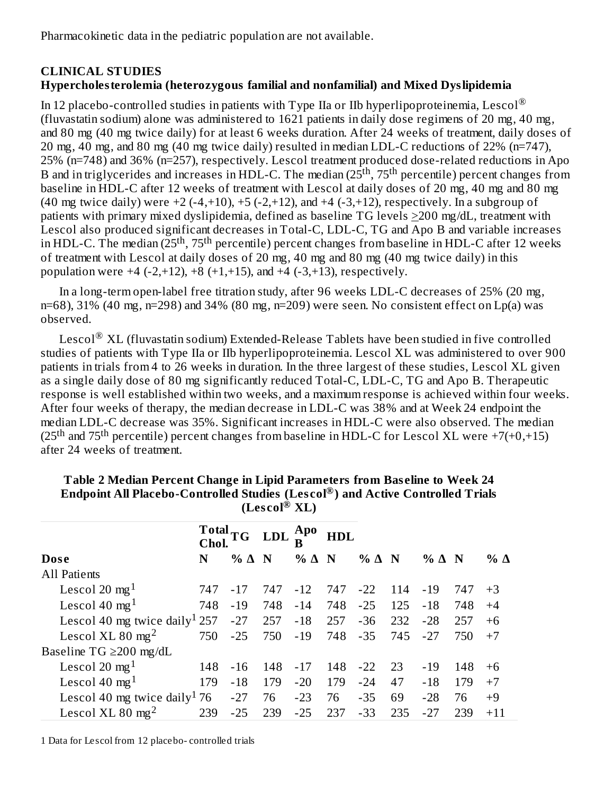Pharmacokinetic data in the pediatric population are not available.

### **CLINICAL STUDIES Hypercholesterolemia (heterozygous familial and nonfamilial) and Mixed Dyslipidemia**

In 12 placebo-controlled studies in patients with Type IIa or IIb hyperlipoproteinemia, Lescol $^\circledR$ (fluvastatin sodium) alone was administered to 1621 patients in daily dose regimens of 20 mg, 40 mg, and 80 mg (40 mg twice daily) for at least 6 weeks duration. After 24 weeks of treatment, daily doses of 20 mg, 40 mg, and 80 mg (40 mg twice daily) resulted in median LDL-C reductions of 22% (n=747), 25% (n=748) and 36% (n=257), respectively. Lescol treatment produced dose-related reductions in Apo B and in triglycerides and increases in HDL-C. The median (25<sup>th</sup>, 75<sup>th</sup> percentile) percent changes from baseline in HDL-C after 12 weeks of treatment with Lescol at daily doses of 20 mg, 40 mg and 80 mg (40 mg twice daily) were  $+2$  (-4, $+10$ ),  $+5$  (-2, $+12$ ), and  $+4$  (-3, $+12$ ), respectively. In a subgroup of patients with primary mixed dyslipidemia, defined as baseline TG levels >200 mg/dL, treatment with Lescol also produced significant decreases in Total-C, LDL-C, TG and Apo B and variable increases in HDL-C. The median (25<sup>th</sup>, 75<sup>th</sup> percentile) percent changes from baseline in HDL-C after 12 weeks of treatment with Lescol at daily doses of 20 mg, 40 mg and 80 mg (40 mg twice daily) in this population were  $+4$  (-2, $+12$ ),  $+8$  ( $+1$ , $+15$ ), and  $+4$  ( $-3$ , $+13$ ), respectively.

In a long-term open-label free titration study, after 96 weeks LDL-C decreases of 25% (20 mg, n=68),  $31\%$  (40 mg, n=298) and  $34\%$  (80 mg, n=209) were seen. No consistent effect on Lp(a) was observed.

Lescol $^\circledR$  XL (fluvastatin sodium) Extended-Release Tablets have been studied in five controlled studies of patients with Type IIa or IIb hyperlipoproteinemia. Lescol XL was administered to over 900 patients in trials from 4 to 26 weeks in duration. In the three largest of these studies, Lescol XL given as a single daily dose of 80 mg significantly reduced Total-C, LDL-C, TG and Apo B. Therapeutic response is well established within two weeks, and a maximum response is achieved within four weeks. After four weeks of therapy, the median decrease in LDL-C was 38% and at Week 24 endpoint the median LDL-C decrease was 35%. Significant increases in HDL-C were also observed. The median (25<sup>th</sup> and 75<sup>th</sup> percentile) percent changes from baseline in HDL-C for Lescol XL were +7(+0,+15) after 24 weeks of treatment.

|                                           | Chol. | $\bf Total_{TG}$  | <b>LDL</b> | Apo               | <b>HDL</b> |                   |     |                   |     |            |
|-------------------------------------------|-------|-------------------|------------|-------------------|------------|-------------------|-----|-------------------|-----|------------|
| Dose                                      | N     | $%$ $\triangle$ N |            | $%$ $\triangle$ N |            | $%$ $\triangle$ N |     | $%$ $\triangle$ N |     | % $\Delta$ |
| All Patients                              |       |                   |            |                   |            |                   |     |                   |     |            |
| Lescol 20 mg <sup>1</sup>                 | 747   | $-17$             | 747        | $-12$             | 747        | $-22$             | 114 | $-19$             | 747 | $+3$       |
| Lescol 40 mg <sup>1</sup>                 | 748   | $-19$             | 748        | $-14$             | 748        | $-25$             | 125 | $-18$             | 748 | $+4$       |
| Lescol 40 mg twice daily <sup>1</sup> 257 |       | $-27$             | 257        | $-18$             | 257        | $-36$             | 232 | $-28$             | 257 | $+6$       |
| Lescol XL 80 mg <sup>2</sup>              | 750   | $-25$             | 750        | $-19$             | 748        | $-35$             | 745 | $-27$             | 750 | $+7$       |
| Baseline TG $\geq$ 200 mg/dL              |       |                   |            |                   |            |                   |     |                   |     |            |
| Lescol 20 mg <sup>1</sup>                 | 148   | $-16$             | 148        | $-17$             | 148        | $-22$             | 23  | $-19$             | 148 | $+6$       |
| Lescol 40 $mg1$                           | 179   | $-18$             | 179        | $-20$             | 179        | $-24$             | 47  | $-18$             | 179 | $+7$       |
| Lescol 40 mg twice daily <sup>1</sup> 76  |       | $-27$             | 76         | $-23$             | 76         | $-35$             | 69  | $-28$             | 76  | $+9$       |
| Lescol XL 80 mg <sup>2</sup>              | 239   | $-25$             | 239        | $-25$             | 237        | $-33$             | 235 | $-27$             | 239 | $+11$      |

| Table 2 Median Percent Change in Lipid Parameters from Baseline to Week 24                  |  |
|---------------------------------------------------------------------------------------------|--|
| Endpoint All Placebo-Controlled Studies (Lescol $^\circledR$ ) and Active Controlled Trials |  |
| (Lescol <sup>®</sup> XL)                                                                    |  |

1 Data for Lescol from 12 placebo- controlled trials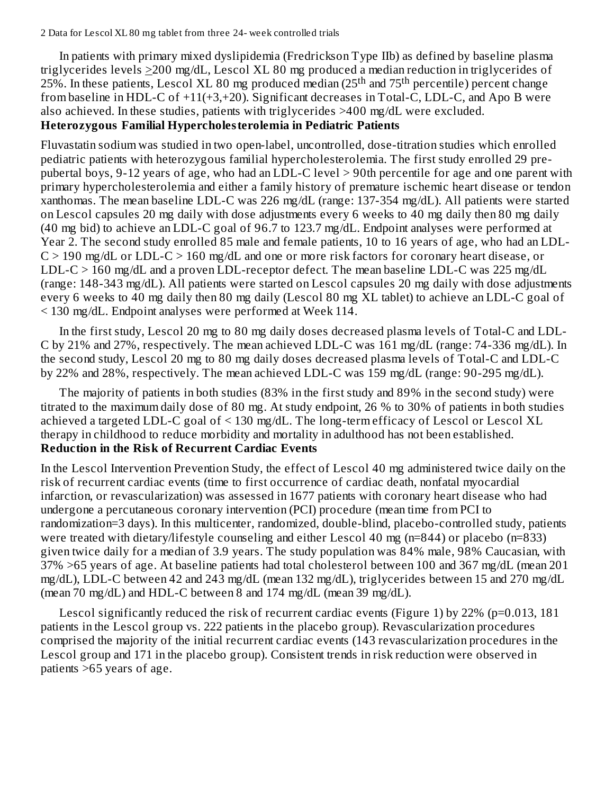#### 2 Data for Lescol XL 80 mg tablet from three 24- week controlled trials

In patients with primary mixed dyslipidemia (Fredrickson Type IIb) as defined by baseline plasma triglycerides levels  $\geq$ 200 mg/dL, Lescol XL 80 mg produced a median reduction in triglycerides of 25%. In these patients, Lescol XL 80 mg produced median (25<sup>th</sup> and 75<sup>th</sup> percentile) percent change from baseline in HDL-C of +11(+3,+20). Significant decreases in Total-C, LDL-C, and Apo B were also achieved. In these studies, patients with triglycerides >400 mg/dL were excluded.

#### **Heterozygous Familial Hypercholesterolemia in Pediatric Patients**

Fluvastatin sodium was studied in two open-label, uncontrolled, dose-titration studies which enrolled pediatric patients with heterozygous familial hypercholesterolemia. The first study enrolled 29 prepubertal boys, 9-12 years of age, who had an LDL-C level > 90th percentile for age and one parent with primary hypercholesterolemia and either a family history of premature ischemic heart disease or tendon xanthomas. The mean baseline LDL-C was 226 mg/dL (range: 137-354 mg/dL). All patients were started on Lescol capsules 20 mg daily with dose adjustments every 6 weeks to 40 mg daily then 80 mg daily (40 mg bid) to achieve an LDL-C goal of 96.7 to 123.7 mg/dL. Endpoint analyses were performed at Year 2. The second study enrolled 85 male and female patients, 10 to 16 years of age, who had an LDL- $C > 190$  mg/dL or LDL-C  $> 160$  mg/dL and one or more risk factors for coronary heart disease, or LDL-C > 160 mg/dL and a proven LDL-receptor defect. The mean baseline LDL-C was 225 mg/dL (range: 148-343 mg/dL). All patients were started on Lescol capsules 20 mg daily with dose adjustments every 6 weeks to 40 mg daily then 80 mg daily (Lescol 80 mg XL tablet) to achieve an LDL-C goal of < 130 mg/dL. Endpoint analyses were performed at Week 114.

In the first study, Lescol 20 mg to 80 mg daily doses decreased plasma levels of Total-C and LDL-C by 21% and 27%, respectively. The mean achieved LDL-C was 161 mg/dL (range: 74-336 mg/dL). In the second study, Lescol 20 mg to 80 mg daily doses decreased plasma levels of Total-C and LDL-C by 22% and 28%, respectively. The mean achieved LDL-C was 159 mg/dL (range: 90-295 mg/dL).

The majority of patients in both studies (83% in the first study and 89% in the second study) were titrated to the maximum daily dose of 80 mg. At study endpoint, 26 % to 30% of patients in both studies achieved a targeted LDL-C goal of < 130 mg/dL. The long-term efficacy of Lescol or Lescol XL therapy in childhood to reduce morbidity and mortality in adulthood has not been established. **Reduction in the Risk of Recurrent Cardiac Events**

In the Lescol Intervention Prevention Study, the effect of Lescol 40 mg administered twice daily on the risk of recurrent cardiac events (time to first occurrence of cardiac death, nonfatal myocardial infarction, or revascularization) was assessed in 1677 patients with coronary heart disease who had undergone a percutaneous coronary intervention (PCI) procedure (mean time from PCI to randomization=3 days). In this multicenter, randomized, double-blind, placebo-controlled study, patients were treated with dietary/lifestyle counseling and either Lescol 40 mg (n=844) or placebo (n=833) given twice daily for a median of 3.9 years. The study population was 84% male, 98% Caucasian, with 37% >65 years of age. At baseline patients had total cholesterol between 100 and 367 mg/dL (mean 201 mg/dL), LDL-C between 42 and 243 mg/dL (mean 132 mg/dL), triglycerides between 15 and 270 mg/dL (mean 70 mg/dL) and HDL-C between 8 and 174 mg/dL (mean 39 mg/dL).

Lescol significantly reduced the risk of recurrent cardiac events (Figure 1) by 22% ( $p=0.013, 181$ patients in the Lescol group vs. 222 patients in the placebo group). Revascularization procedures comprised the majority of the initial recurrent cardiac events (143 revascularization procedures in the Lescol group and 171 in the placebo group). Consistent trends in risk reduction were observed in patients >65 years of age.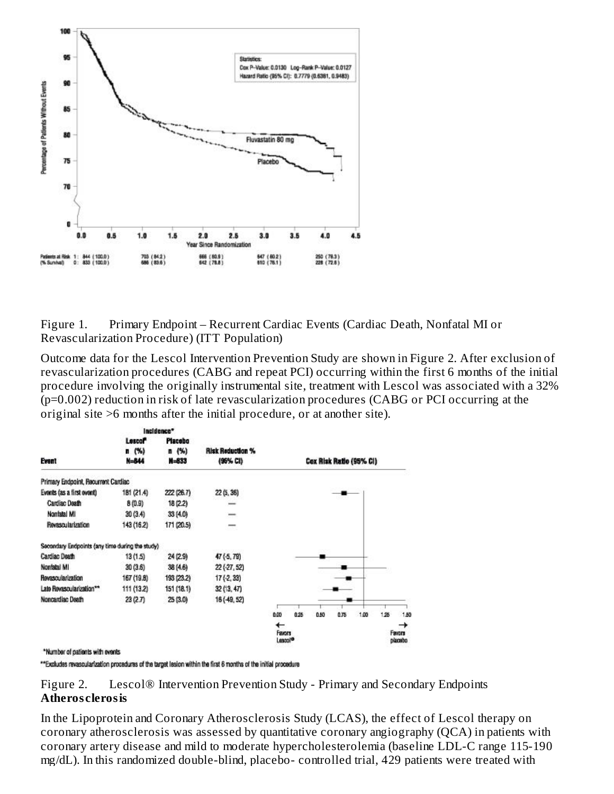

Figure 1. Primary Endpoint – Recurrent Cardiac Events (Cardiac Death, Nonfatal MI or Revascularization Procedure) (ITT Population)

Outcome data for the Lescol Intervention Prevention Study are shown in Figure 2. After exclusion of revascularization procedures (CABG and repeat PCI) occurring within the first 6 months of the initial procedure involving the originally instrumental site, treatment with Lescol was associated with a 32% (p=0.002) reduction in risk of late revascularization procedures (CABG or PCI occurring at the original site >6 months after the initial procedure, or at another site).

|                                                 |               | Incidence* |                         |                                    |      |                         |      |      |     |                        |
|-------------------------------------------------|---------------|------------|-------------------------|------------------------------------|------|-------------------------|------|------|-----|------------------------|
|                                                 | <b>Lescof</b> | Placebo    |                         |                                    |      |                         |      |      |     |                        |
|                                                 | n(%)          | n(%)       | <b>Risk Reduction %</b> |                                    |      |                         |      |      |     |                        |
| Event                                           | N=844         | $M = 833$  | (96% CI)                |                                    |      | Cox Risk Ratio (95% CI) |      |      |     |                        |
| Primary Endpoint, Recurrent Cardiac             |               |            |                         |                                    |      |                         |      |      |     |                        |
| Evonts (as a first ovont)                       | 181 (21.4)    | 222 (26.7) | 22 (5, 36)              |                                    |      |                         |      |      |     |                        |
| Cardiac Death                                   | 8(0.9)        | 18 (2.2)   | -                       |                                    |      |                         |      |      |     |                        |
| Nonfatal MI                                     | 30 (3.4)      | 33 (4.0)   | ∸                       |                                    |      |                         |      |      |     |                        |
| <b>Revascularization</b>                        | 143 (16.2)    | 171 (20.5) |                         |                                    |      |                         |      |      |     |                        |
| Secondary Endpoints (any time during the study) |               |            |                         |                                    |      |                         |      |      |     |                        |
| Cardiac Death                                   | 13 (1.5)      | 24 (2.9)   | 47(5, 79)               |                                    |      |                         |      |      |     |                        |
| Nonfatal MI                                     | 30 (3.6)      | 38 (4.6)   | $22( -27, 52)$          |                                    |      |                         |      |      |     |                        |
| Revascularization                               | 167 (19.8)    | 193 (23.2) | $17( -2, 33)$           |                                    |      |                         |      |      |     |                        |
| Late Revascularization**                        | 111 (13.2)    | 151 (18.1) | 32(13, 47)              |                                    |      |                         |      |      |     |                        |
| Noncardiac Death                                | 23(2.7)       | 25 (3.0)   | 16 (-49, 52)            |                                    |      |                         |      |      |     |                        |
|                                                 |               |            |                         | 0.00                               | 0.25 | 0.50                    | 0.75 | 1.00 | 125 | 1.50                   |
|                                                 |               |            |                         | ←<br>Favors<br>Lascol <sup>o</sup> |      |                         |      |      |     | →<br>Favors<br>placubo |
| *Number of network with conde-                  |               |            |                         |                                    |      |                         |      |      |     |                        |

\*\*Excludes revascularization procedures of the target lesion within the first 6 months of the initial procedure

Figure 2. Lescol® Intervention Prevention Study - Primary and Secondary Endpoints **Atheros clerosis**

In the Lipoprotein and Coronary Atherosclerosis Study (LCAS), the effect of Lescol therapy on coronary atherosclerosis was assessed by quantitative coronary angiography (QCA) in patients with coronary artery disease and mild to moderate hypercholesterolemia (baseline LDL-C range 115-190 mg/dL). In this randomized double-blind, placebo- controlled trial, 429 patients were treated with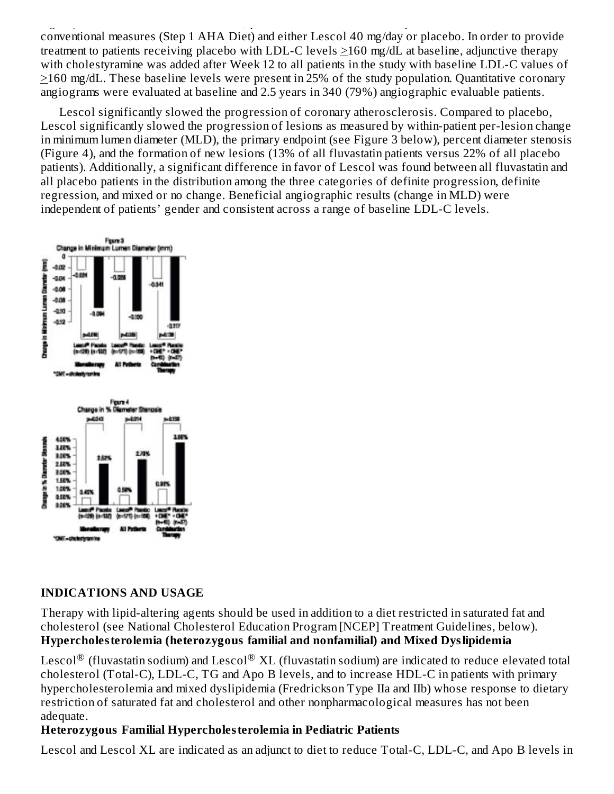mg/dL). In this randomized double-blind, placebo- controlled trial, 429 patients were treated with conventional measures (Step 1 AHA Diet) and either Lescol 40 mg/day or placebo. In order to provide treatment to patients receiving placebo with LDL-C levels >160 mg/dL at baseline, adjunctive therapy with cholestyramine was added after Week 12 to all patients in the study with baseline LDL-C values of >160 mg/dL. These baseline levels were present in 25% of the study population. Quantitative coronary angiograms were evaluated at baseline and 2.5 years in 340 (79%) angiographic evaluable patients.

Lescol significantly slowed the progression of coronary atherosclerosis. Compared to placebo, Lescol significantly slowed the progression of lesions as measured by within-patient per-lesion change in minimum lumen diameter (MLD), the primary endpoint (see Figure 3 below), percent diameter stenosis (Figure 4), and the formation of new lesions (13% of all fluvastatin patients versus 22% of all placebo patients). Additionally, a significant difference in favor of Lescol was found between all fluvastatin and all placebo patients in the distribution among the three categories of definite progression, definite regression, and mixed or no change. Beneficial angiographic results (change in MLD) were independent of patients' gender and consistent across a range of baseline LDL-C levels.



### **INDICATIONS AND USAGE**

Therapy with lipid-altering agents should be used in addition to a diet restricted in saturated fat and cholesterol (see National Cholesterol Education Program [NCEP] Treatment Guidelines, below). **Hypercholesterolemia (heterozygous familial and nonfamilial) and Mixed Dyslipidemia**

Lescol $^{\circledR}$  (fluvastatin sodium) and Lescol $^{\circledR}$  XL (fluvastatin sodium) are indicated to reduce elevated total cholesterol (Total-C), LDL-C, TG and Apo B levels, and to increase HDL-C in patients with primary hypercholesterolemia and mixed dyslipidemia (Fredrickson Type IIa and IIb) whose response to dietary restriction of saturated fat and cholesterol and other nonpharmacological measures has not been adequate.

### **Heterozygous Familial Hypercholesterolemia in Pediatric Patients**

Lescol and Lescol XL are indicated as an adjunct to diet to reduce Total-C, LDL-C, and Apo B levels in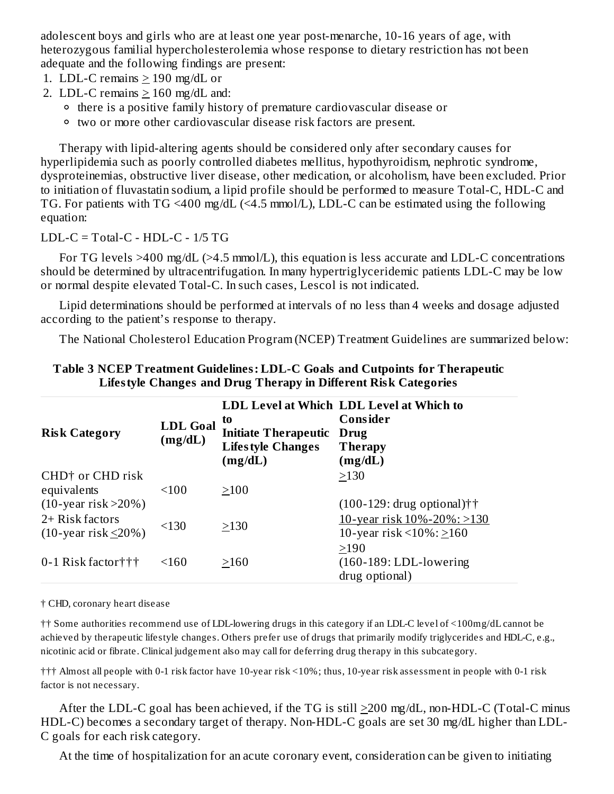adolescent boys and girls who are at least one year post-menarche, 10-16 years of age, with heterozygous familial hypercholesterolemia whose response to dietary restriction has not been adequate and the following findings are present:

- 1. LDL-C remains > 190 mg/dL or
- 2. LDL-C remains  $\geq 160$  mg/dL and:
	- <sup>o</sup> there is a positive family history of premature cardiovascular disease or
	- two or more other cardiovascular disease risk factors are present.

Therapy with lipid-altering agents should be considered only after secondary causes for hyperlipidemia such as poorly controlled diabetes mellitus, hypothyroidism, nephrotic syndrome, dysproteinemias, obstructive liver disease, other medication, or alcoholism, have been excluded. Prior to initiation of fluvastatin sodium, a lipid profile should be performed to measure Total-C, HDL-C and TG. For patients with TG <400 mg/dL (<4.5 mmol/L), LDL-C can be estimated using the following equation:

LDL-C = Total-C -  $HDL-C - 1/5 TG$ 

For TG levels >400 mg/dL (>4.5 mmol/L), this equation is less accurate and LDL-C concentrations should be determined by ultracentrifugation. In many hypertriglyceridemic patients LDL-C may be low or normal despite elevated Total-C. In such cases, Lescol is not indicated.

Lipid determinations should be performed at intervals of no less than 4 weeks and dosage adjusted according to the patient's response to therapy.

The National Cholesterol Education Program (NCEP) Treatment Guidelines are summarized below:

| <b>Risk Category</b>                                                      | <b>LDL Goal</b><br>(mg/dL) | to<br><b>Initiate Therapeutic</b><br><b>Lifestyle Changes</b><br>(mg/dL) | LDL Level at Which LDL Level at Which to<br>Consider<br>Drug<br><b>Therapy</b><br>(mg/dL)           |
|---------------------------------------------------------------------------|----------------------------|--------------------------------------------------------------------------|-----------------------------------------------------------------------------------------------------|
| CHD <sup>†</sup> or CHD risk<br>equivalents                               | < 100                      | >100                                                                     | >130                                                                                                |
| $(10$ -year risk >20%)<br>2+ Risk factors<br>$(10$ -year risk $\leq$ 20%) | < 130                      | >130                                                                     | $(100-129:$ drug optional) $\dagger$<br>10-year risk 10%-20%: >130<br>10-year risk <10%: $\geq$ 160 |
| 0-1 Risk factor $\uparrow\uparrow\uparrow$                                | < 160                      | >160                                                                     | >190<br>$(160-189:LDL-lowering)$<br>drug optional)                                                  |

### **Table 3 NCEP Treatment Guidelines: LDL-C Goals and Cutpoints for Therapeutic Lifestyle Changes and Drug Therapy in Different Risk Categories**

† CHD, coronary heart disease

†† Some authorities recommend use of LDL-lowering drugs in this category if an LDL-C level of <100mg/dL cannot be achieved by therapeutic lifestyle changes. Others prefer use of drugs that primarily modify triglycerides and HDL-C, e.g., nicotinic acid or fibrate. Clinical judgement also may call for deferring drug therapy in this subcategory.

††† Almost all people with 0-1 risk factor have 10-year risk <10%; thus, 10-year risk assessment in people with 0-1 risk factor is not necessary.

After the LDL-C goal has been achieved, if the TG is still >200 mg/dL, non-HDL-C (Total-C minus HDL-C) becomes a secondary target of therapy. Non-HDL-C goals are set 30 mg/dL higher than LDL-C goals for each risk category.

At the time of hospitalization for an acute coronary event, consideration can be given to initiating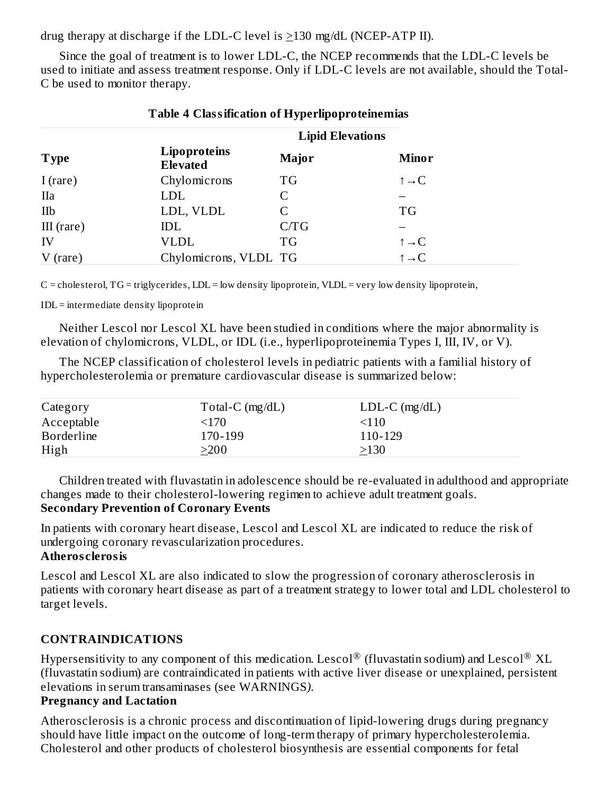drug therapy at discharge if the LDL-C level is >130 mg/dL (NCEP-ATP II).

Since the goal of treatment is to lower LDL-C, the NCEP recommends that the LDL-C levels be used to initiate and assess treatment response. Only if LDL-C levels are not available, should the Total-C be used to monitor therapy.

| Table 4 Classification of Hyperipoprotementias |                                 |              |                          |  |  |  |
|------------------------------------------------|---------------------------------|--------------|--------------------------|--|--|--|
|                                                | <b>Lipid Elevations</b>         |              |                          |  |  |  |
| <b>Type</b>                                    | Lipoproteins<br><b>Elevated</b> | <b>Major</b> | <b>Minor</b>             |  |  |  |
| I $(\text{rare})$                              | Chylomicrons                    | <b>TG</b>    | $\uparrow \rightarrow C$ |  |  |  |
| <b>IIa</b>                                     | <b>LDL</b>                      | C            |                          |  |  |  |
| IIb                                            | LDL, VLDL                       | С            | <b>TG</b>                |  |  |  |
| $III$ (rare)                                   | IDL                             | C/TG         |                          |  |  |  |
| IV                                             | VLDL                            | <b>TG</b>    | $\uparrow \rightarrow C$ |  |  |  |
| $V$ (rare)                                     | Chylomicrons, VLDL TG           |              | $\uparrow \rightarrow C$ |  |  |  |

### **Table 4 Classification of Hyperlipoproteinemias**

C = cholesterol, TG = triglycerides, LDL = low density lipoprotein, VLDL = very low density lipoprotein,

IDL = intermediate density lipoprotein

Neither Lescol nor Lescol XL have been studied in conditions where the major abnormality is elevation of chylomicrons, VLDL, or IDL (i.e., hyperlipoproteinemia Types I, III, IV, or V).

The NCEP classification of cholesterol levels in pediatric patients with a familial history of hypercholesterolemia or premature cardiovascular disease is summarized below:

| Category          | Total-C $(mg/dL)$ | $LDL-C$ (mg/dL) |  |
|-------------------|-------------------|-----------------|--|
| Acceptable        | <170              | <110            |  |
| <b>Borderline</b> | 170-199           | 110-129         |  |
| High              | >200              | >130            |  |

Children treated with fluvastatin in adolescence should be re-evaluated in adulthood and appropriate changes made to their cholesterol-lowering regimen to achieve adult treatment goals.

### **Secondary Prevention of Coronary Events**

In patients with coronary heart disease, Lescol and Lescol XL are indicated to reduce the risk of undergoing coronary revascularization procedures.

#### **Atheros clerosis**

Lescol and Lescol XL are also indicated to slow the progression of coronary atherosclerosis in patients with coronary heart disease as part of a treatment strategy to lower total and LDL cholesterol to target levels.

### **CONTRAINDICATIONS**

Hypersensitivity to any component of this medication. Lescol $^\circledR$  (fluvastatin sodium) and Lescol $^\circledR$  XL (fluvastatin sodium) are contraindicated in patients with active liver disease or unexplained, persistent elevations in serum transaminases (see WARNINGS*)*.

#### **Pregnancy and Lactation**

Atherosclerosis is a chronic process and discontinuation of lipid-lowering drugs during pregnancy should have little impact on the outcome of long-term therapy of primary hypercholesterolemia. Cholesterol and other products of cholesterol biosynthesis are essential components for fetal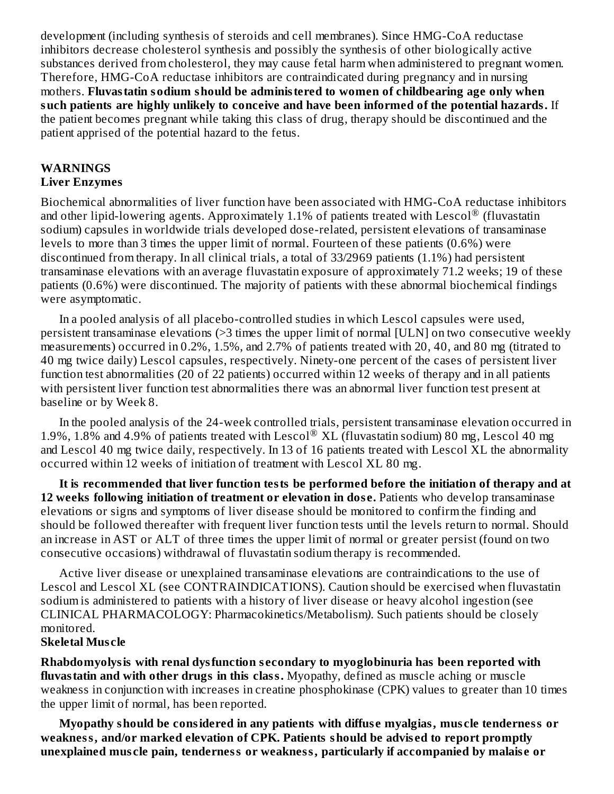development (including synthesis of steroids and cell membranes). Since HMG-CoA reductase inhibitors decrease cholesterol synthesis and possibly the synthesis of other biologically active substances derived from cholesterol, they may cause fetal harm when administered to pregnant women. Therefore, HMG-CoA reductase inhibitors are contraindicated during pregnancy and in nursing mothers. **Fluvastatin sodium should be administered to women of childbearing age only when such patients are highly unlikely to conceive and have been informed of the potential hazards.** If the patient becomes pregnant while taking this class of drug, therapy should be discontinued and the patient apprised of the potential hazard to the fetus.

#### **WARNINGS Liver Enzymes**

Biochemical abnormalities of liver function have been associated with HMG-CoA reductase inhibitors and other lipid-lowering agents. Approximately 1.1% of patients treated with Lescol $^{\circledR}$  (fluvastatin sodium) capsules in worldwide trials developed dose-related, persistent elevations of transaminase levels to more than 3 times the upper limit of normal. Fourteen of these patients (0.6%) were discontinued from therapy. In all clinical trials, a total of 33/2969 patients (1.1%) had persistent transaminase elevations with an average fluvastatin exposure of approximately 71.2 weeks; 19 of these patients (0.6%) were discontinued. The majority of patients with these abnormal biochemical findings were asymptomatic.

In a pooled analysis of all placebo-controlled studies in which Lescol capsules were used, persistent transaminase elevations (>3 times the upper limit of normal [ULN] on two consecutive weekly measurements) occurred in 0.2%, 1.5%, and 2.7% of patients treated with 20, 40, and 80 mg (titrated to 40 mg twice daily) Lescol capsules, respectively. Ninety-one percent of the cases of persistent liver function test abnormalities (20 of 22 patients) occurred within 12 weeks of therapy and in all patients with persistent liver function test abnormalities there was an abnormal liver function test present at baseline or by Week 8.

In the pooled analysis of the 24-week controlled trials, persistent transaminase elevation occurred in 1.9%, 1.8% and 4.9% of patients treated with Lescol® XL (fluvastatin sodium) 80 mg, Lescol 40 mg and Lescol 40 mg twice daily, respectively. In 13 of 16 patients treated with Lescol XL the abnormality occurred within 12 weeks of initiation of treatment with Lescol XL 80 mg.

**It is recommended that liver function tests be performed before the initiation of therapy and at 12 weeks following initiation of treatment or elevation in dos e.** Patients who develop transaminase elevations or signs and symptoms of liver disease should be monitored to confirm the finding and should be followed thereafter with frequent liver function tests until the levels return to normal. Should an increase in AST or ALT of three times the upper limit of normal or greater persist (found on two consecutive occasions) withdrawal of fluvastatin sodium therapy is recommended.

Active liver disease or unexplained transaminase elevations are contraindications to the use of Lescol and Lescol XL (see CONTRAINDICATIONS). Caution should be exercised when fluvastatin sodium is administered to patients with a history of liver disease or heavy alcohol ingestion (see CLINICAL PHARMACOLOGY: Pharmacokinetics/Metabolism*)*. Such patients should be closely monitored.

#### **Skeletal Mus cle**

**Rhabdomyolysis with renal dysfunction s econdary to myoglobinuria has been reported with fluvastatin and with other drugs in this class.** Myopathy, defined as muscle aching or muscle weakness in conjunction with increases in creatine phosphokinase (CPK) values to greater than 10 times the upper limit of normal, has been reported.

**Myopathy should be considered in any patients with diffus e myalgias, mus cle tenderness or weakness, and/or marked elevation of CPK. Patients should be advis ed to report promptly unexplained mus cle pain, tenderness or weakness, particularly if accompanied by malais e or**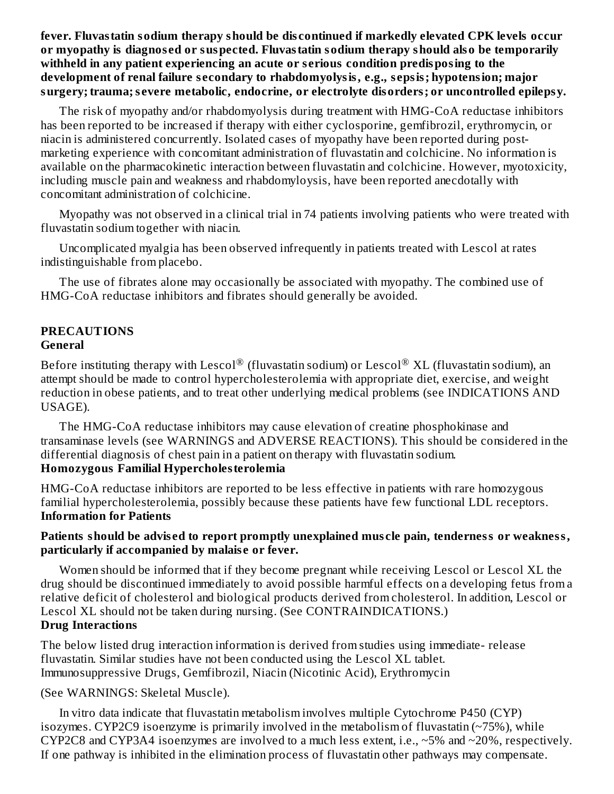**fever. Fluvastatin sodium therapy should be dis continued if markedly elevated CPK levels occur or myopathy is diagnos ed or suspected. Fluvastatin sodium therapy should also be temporarily withheld in any patient experiencing an acute or s erious condition predisposing to the development of renal failure s econdary to rhabdomyolysis, e.g., s epsis; hypotension; major surgery; trauma;s evere metabolic, endocrine, or electrolyte disorders; or uncontrolled epilepsy.**

The risk of myopathy and/or rhabdomyolysis during treatment with HMG-CoA reductase inhibitors has been reported to be increased if therapy with either cyclosporine, gemfibrozil, erythromycin, or niacin is administered concurrently. Isolated cases of myopathy have been reported during postmarketing experience with concomitant administration of fluvastatin and colchicine. No information is available on the pharmacokinetic interaction between fluvastatin and colchicine. However, myotoxicity, including muscle pain and weakness and rhabdomyloysis, have been reported anecdotally with concomitant administration of colchicine.

Myopathy was not observed in a clinical trial in 74 patients involving patients who were treated with fluvastatin sodium together with niacin.

Uncomplicated myalgia has been observed infrequently in patients treated with Lescol at rates indistinguishable from placebo.

The use of fibrates alone may occasionally be associated with myopathy. The combined use of HMG-CoA reductase inhibitors and fibrates should generally be avoided.

#### **PRECAUTIONS General**

Before instituting therapy with Lescol $^\circledR$  (fluvastatin sodium) or Lescol $^\circledR$  XL (fluvastatin sodium), an attempt should be made to control hypercholesterolemia with appropriate diet, exercise, and weight reduction in obese patients, and to treat other underlying medical problems (see INDICATIONS AND USAGE).

The HMG-CoA reductase inhibitors may cause elevation of creatine phosphokinase and transaminase levels (see WARNINGS and ADVERSE REACTIONS). This should be considered in the differential diagnosis of chest pain in a patient on therapy with fluvastatin sodium. **Homozygous Familial Hypercholesterolemia**

HMG-CoA reductase inhibitors are reported to be less effective in patients with rare homozygous familial hypercholesterolemia, possibly because these patients have few functional LDL receptors. **Information for Patients**

#### **Patients should be advis ed to report promptly unexplained mus cle pain, tenderness or weakness, particularly if accompanied by malais e or fever.**

Women should be informed that if they become pregnant while receiving Lescol or Lescol XL the drug should be discontinued immediately to avoid possible harmful effects on a developing fetus from a relative deficit of cholesterol and biological products derived from cholesterol. In addition, Lescol or Lescol XL should not be taken during nursing. (See CONTRAINDICATIONS.) **Drug Interactions**

The below listed drug interaction information is derived from studies using immediate- release fluvastatin. Similar studies have not been conducted using the Lescol XL tablet. Immunosuppressive Drugs, Gemfibrozil, Niacin (Nicotinic Acid), Erythromycin

(See WARNINGS: Skeletal Muscle).

In vitro data indicate that fluvastatin metabolism involves multiple Cytochrome P450 (CYP) isozymes. CYP2C9 isoenzyme is primarily involved in the metabolism of fluvastatin  $(\sim 75\%)$ , while CYP2C8 and CYP3A4 isoenzymes are involved to a much less extent, i.e., ~5% and ~20%, respectively. If one pathway is inhibited in the elimination process of fluvastatin other pathways may compensate.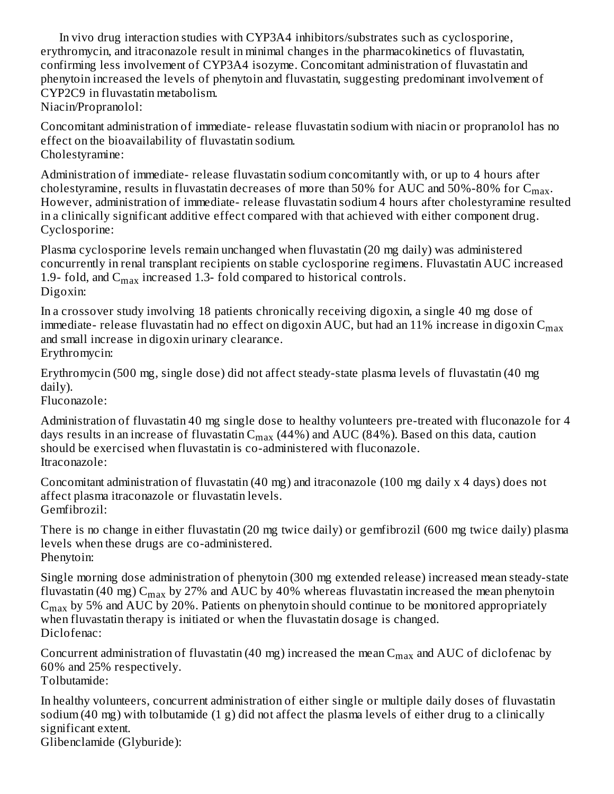In vivo drug interaction studies with CYP3A4 inhibitors/substrates such as cyclosporine, erythromycin, and itraconazole result in minimal changes in the pharmacokinetics of fluvastatin, confirming less involvement of CYP3A4 isozyme. Concomitant administration of fluvastatin and phenytoin increased the levels of phenytoin and fluvastatin, suggesting predominant involvement of CYP2C9 in fluvastatin metabolism. Niacin/Propranolol:

Concomitant administration of immediate- release fluvastatin sodium with niacin or propranolol has no effect on the bioavailability of fluvastatin sodium. Cholestyramine:

Administration of immediate- release fluvastatin sodium concomitantly with, or up to 4 hours after cholestyramine, results in fluvastatin decreases of more than 50% for AUC and 50%-80% for  $\rm{C_{max}.}$ However, administration of immediate- release fluvastatin sodium 4 hours after cholestyramine resulted in a clinically significant additive effect compared with that achieved with either component drug. Cyclosporine:

Plasma cyclosporine levels remain unchanged when fluvastatin (20 mg daily) was administered concurrently in renal transplant recipients on stable cyclosporine regimens. Fluvastatin AUC increased 1.9- fold, and  $C_{max}$  increased 1.3- fold compared to historical controls. Digoxin:

In a crossover study involving 18 patients chronically receiving digoxin, a single 40 mg dose of immediate- release fluvastatin had no effect on digoxin AUC, but had an 11% increase in digoxin  ${\sf C}_{\sf max}$ and small increase in digoxin urinary clearance. Erythromycin:

Erythromycin (500 mg, single dose) did not affect steady-state plasma levels of fluvastatin (40 mg daily).

Fluconazole:

Administration of fluvastatin 40 mg single dose to healthy volunteers pre-treated with fluconazole for 4 days results in an increase of fluvastatin C $_{\rm max}$  (44%) and AUC (84%). Based on this data, caution should be exercised when fluvastatin is co-administered with fluconazole. Itraconazole:

Concomitant administration of fluvastatin (40 mg) and itraconazole (100 mg daily x 4 days) does not affect plasma itraconazole or fluvastatin levels. Gemfibrozil:

There is no change in either fluvastatin (20 mg twice daily) or gemfibrozil (600 mg twice daily) plasma levels when these drugs are co-administered. Phenytoin:

Single morning dose administration of phenytoin (300 mg extended release) increased mean steady-state fluvastatin (40 mg)  $\rm C_{max}$  by 27% and AUC by 40% whereas fluvastatin increased the mean phenytoin  $C_{max}$  by 5% and AUC by 20%. Patients on phenytoin should continue to be monitored appropriately when fluvastatin therapy is initiated or when the fluvastatin dosage is changed. Diclofenac:

Concurrent administration of fluvastatin (40 mg) increased the mean  $\rm{C_{max}}$  and  $\rm{AUC}$  of diclofenac by 60% and 25% respectively.

Tolbutamide:

In healthy volunteers, concurrent administration of either single or multiple daily doses of fluvastatin sodium (40 mg) with tolbutamide (1 g) did not affect the plasma levels of either drug to a clinically significant extent.

Glibenclamide (Glyburide):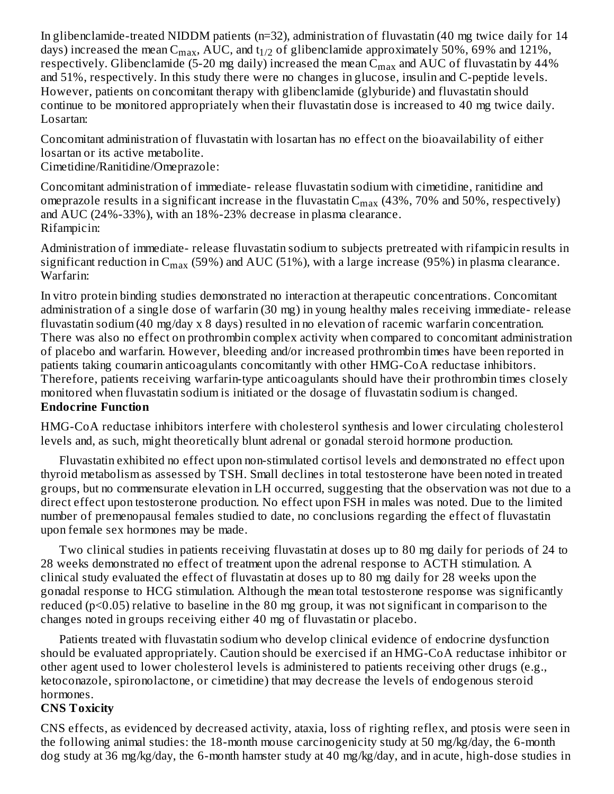In glibenclamide-treated NIDDM patients (n=32), administration of fluvastatin (40 mg twice daily for 14 days) increased the mean  $\rm C_{max}$ , AUC, and t $_{1/2}$  of glibenclamide approximately 50%, 69% and 121%, respectively. Glibenclamide (5-20 mg daily) increased the mean  $\rm{C_{max}}$  and  $\rm{AUC}$  of fluvastatin by 44% and 51%, respectively. In this study there were no changes in glucose, insulin and C-peptide levels. However, patients on concomitant therapy with glibenclamide (glyburide) and fluvastatin should continue to be monitored appropriately when their fluvastatin dose is increased to 40 mg twice daily. Losartan:

Concomitant administration of fluvastatin with losartan has no effect on the bioavailability of either losartan or its active metabolite.

Cimetidine/Ranitidine/Omeprazole:

Concomitant administration of immediate- release fluvastatin sodium with cimetidine, ranitidine and omeprazole results in a significant increase in the fluvastatin  $\rm C_{max}$  (43%, 70% and 50%, respectively) and AUC (24%-33%), with an 18%-23% decrease in plasma clearance. Rifampicin:

Administration of immediate- release fluvastatin sodium to subjects pretreated with rifampicin results in significant reduction in  $\rm{C_{max}}$  (59%) and AUC (51%), with a large increase (95%) in plasma clearance. Warfarin:

In vitro protein binding studies demonstrated no interaction at therapeutic concentrations. Concomitant administration of a single dose of warfarin (30 mg) in young healthy males receiving immediate- release fluvastatin sodium (40 mg/day x 8 days) resulted in no elevation of racemic warfarin concentration. There was also no effect on prothrombin complex activity when compared to concomitant administration of placebo and warfarin. However, bleeding and/or increased prothrombin times have been reported in patients taking coumarin anticoagulants concomitantly with other HMG-CoA reductase inhibitors. Therefore, patients receiving warfarin-type anticoagulants should have their prothrombin times closely monitored when fluvastatin sodium is initiated or the dosage of fluvastatin sodium is changed. **Endocrine Function**

HMG-CoA reductase inhibitors interfere with cholesterol synthesis and lower circulating cholesterol levels and, as such, might theoretically blunt adrenal or gonadal steroid hormone production.

Fluvastatin exhibited no effect upon non-stimulated cortisol levels and demonstrated no effect upon thyroid metabolism as assessed by TSH. Small declines in total testosterone have been noted in treated groups, but no commensurate elevation in LH occurred, suggesting that the observation was not due to a direct effect upon testosterone production. No effect upon FSH in males was noted. Due to the limited number of premenopausal females studied to date, no conclusions regarding the effect of fluvastatin upon female sex hormones may be made.

Two clinical studies in patients receiving fluvastatin at doses up to 80 mg daily for periods of 24 to 28 weeks demonstrated no effect of treatment upon the adrenal response to ACTH stimulation. A clinical study evaluated the effect of fluvastatin at doses up to 80 mg daily for 28 weeks upon the gonadal response to HCG stimulation. Although the mean total testosterone response was significantly reduced (p<0.05) relative to baseline in the 80 mg group, it was not significant in comparison to the changes noted in groups receiving either 40 mg of fluvastatin or placebo.

Patients treated with fluvastatin sodium who develop clinical evidence of endocrine dysfunction should be evaluated appropriately. Caution should be exercised if an HMG-CoA reductase inhibitor or other agent used to lower cholesterol levels is administered to patients receiving other drugs (e.g., ketoconazole, spironolactone, or cimetidine) that may decrease the levels of endogenous steroid hormones.

#### **CNS Toxicity**

CNS effects, as evidenced by decreased activity, ataxia, loss of righting reflex, and ptosis were seen in the following animal studies: the 18-month mouse carcinogenicity study at 50 mg/kg/day, the 6-month dog study at 36 mg/kg/day, the 6-month hamster study at 40 mg/kg/day, and in acute, high-dose studies in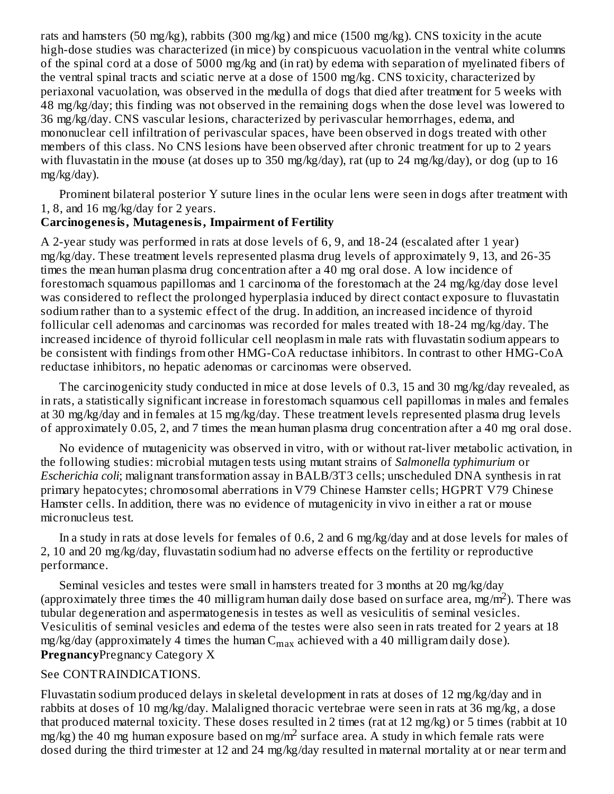rats and hamsters (50 mg/kg), rabbits (300 mg/kg) and mice (1500 mg/kg). CNS toxicity in the acute high-dose studies was characterized (in mice) by conspicuous vacuolation in the ventral white columns of the spinal cord at a dose of 5000 mg/kg and (in rat) by edema with separation of myelinated fibers of the ventral spinal tracts and sciatic nerve at a dose of 1500 mg/kg. CNS toxicity, characterized by periaxonal vacuolation, was observed in the medulla of dogs that died after treatment for 5 weeks with 48 mg/kg/day; this finding was not observed in the remaining dogs when the dose level was lowered to 36 mg/kg/day. CNS vascular lesions, characterized by perivascular hemorrhages, edema, and mononuclear cell infiltration of perivascular spaces, have been observed in dogs treated with other members of this class. No CNS lesions have been observed after chronic treatment for up to 2 years with fluvastatin in the mouse (at doses up to 350 mg/kg/day), rat (up to 24 mg/kg/day), or dog (up to 16 mg/kg/day).

Prominent bilateral posterior Y suture lines in the ocular lens were seen in dogs after treatment with 1, 8, and 16 mg/kg/day for 2 years.

#### **Carcinogenesis, Mutagenesis, Impairment of Fertility**

A 2-year study was performed in rats at dose levels of 6, 9, and 18-24 (escalated after 1 year) mg/kg/day. These treatment levels represented plasma drug levels of approximately 9, 13, and 26-35 times the mean human plasma drug concentration after a 40 mg oral dose. A low incidence of forestomach squamous papillomas and 1 carcinoma of the forestomach at the 24 mg/kg/day dose level was considered to reflect the prolonged hyperplasia induced by direct contact exposure to fluvastatin sodium rather than to a systemic effect of the drug. In addition, an increased incidence of thyroid follicular cell adenomas and carcinomas was recorded for males treated with 18-24 mg/kg/day. The increased incidence of thyroid follicular cell neoplasm in male rats with fluvastatin sodium appears to be consistent with findings from other HMG-CoA reductase inhibitors. In contrast to other HMG-CoA reductase inhibitors, no hepatic adenomas or carcinomas were observed.

The carcinogenicity study conducted in mice at dose levels of 0.3, 15 and 30 mg/kg/day revealed, as in rats, a statistically significant increase in forestomach squamous cell papillomas in males and females at 30 mg/kg/day and in females at 15 mg/kg/day. These treatment levels represented plasma drug levels of approximately 0.05, 2, and 7 times the mean human plasma drug concentration after a 40 mg oral dose.

No evidence of mutagenicity was observed in vitro, with or without rat-liver metabolic activation, in the following studies: microbial mutagen tests using mutant strains of *Salmonella typhimurium* or *Escherichia coli*; malignant transformation assay in BALB/3T3 cells; unscheduled DNA synthesis in rat primary hepatocytes; chromosomal aberrations in V79 Chinese Hamster cells; HGPRT V79 Chinese Hamster cells. In addition, there was no evidence of mutagenicity in vivo in either a rat or mouse micronucleus test.

In a study in rats at dose levels for females of 0.6, 2 and 6 mg/kg/day and at dose levels for males of 2, 10 and 20 mg/kg/day, fluvastatin sodium had no adverse effects on the fertility or reproductive performance.

Seminal vesicles and testes were small in hamsters treated for 3 months at 20 mg/kg/day (approximately three times the 40 milligram human daily dose based on surface area, mg/m<sup>2</sup>). There was tubular degeneration and aspermatogenesis in testes as well as vesiculitis of seminal vesicles. Vesiculitis of seminal vesicles and edema of the testes were also seen in rats treated for 2 years at 18 mg/kg/day (approximately 4 times the human  $C_{\rm max}$  achieved with a 40 milligram daily dose). **Pregnancy**Pregnancy Category X

#### See CONTRAINDICATIONS.

Fluvastatin sodium produced delays in skeletal development in rats at doses of 12 mg/kg/day and in rabbits at doses of 10 mg/kg/day. Malaligned thoracic vertebrae were seen in rats at 36 mg/kg, a dose that produced maternal toxicity. These doses resulted in 2 times (rat at 12 mg/kg) or 5 times (rabbit at 10 mg/kg) the 40 mg human exposure based on mg/m<sup>2</sup> surface area. A study in which female rats were dosed during the third trimester at 12 and 24 mg/kg/day resulted in maternal mortality at or near term and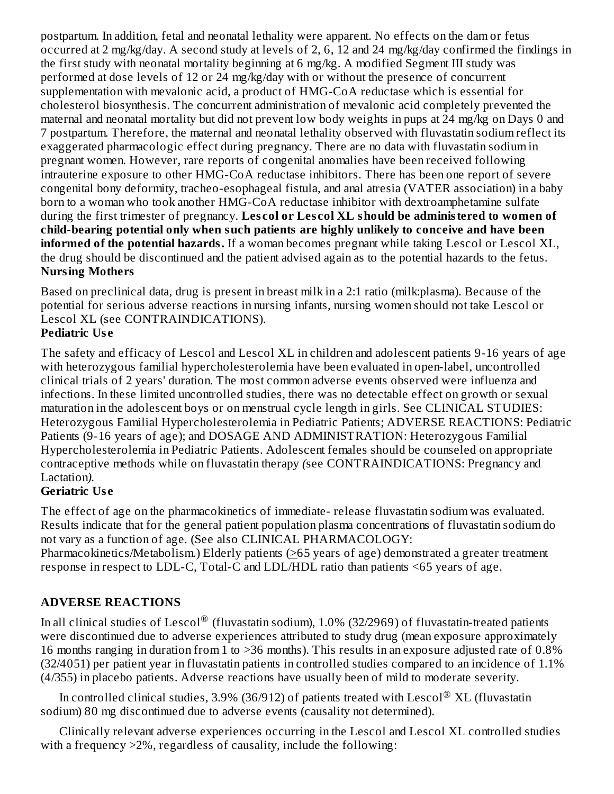postpartum. In addition, fetal and neonatal lethality were apparent. No effects on the dam or fetus occurred at 2 mg/kg/day. A second study at levels of 2, 6, 12 and 24 mg/kg/day confirmed the findings in the first study with neonatal mortality beginning at 6 mg/kg. A modified Segment III study was performed at dose levels of 12 or 24 mg/kg/day with or without the presence of concurrent supplementation with mevalonic acid, a product of HMG-CoA reductase which is essential for cholesterol biosynthesis. The concurrent administration of mevalonic acid completely prevented the maternal and neonatal mortality but did not prevent low body weights in pups at 24 mg/kg on Days 0 and 7 postpartum. Therefore, the maternal and neonatal lethality observed with fluvastatin sodium reflect its exaggerated pharmacologic effect during pregnancy. There are no data with fluvastatin sodium in pregnant women. However, rare reports of congenital anomalies have been received following intrauterine exposure to other HMG-CoA reductase inhibitors. There has been one report of severe congenital bony deformity, tracheo-esophageal fistula, and anal atresia (VATER association) in a baby born to a woman who took another HMG-CoA reductase inhibitor with dextroamphetamine sulfate during the first trimester of pregnancy. **Les col or Les col XL should be administered to women of child-bearing potential only when such patients are highly unlikely to conceive and have been informed of the potential hazards.** If a woman becomes pregnant while taking Lescol or Lescol XL, the drug should be discontinued and the patient advised again as to the potential hazards to the fetus. **Nursing Mothers**

Based on preclinical data, drug is present in breast milk in a 2:1 ratio (milk:plasma). Because of the potential for serious adverse reactions in nursing infants, nursing women should not take Lescol or Lescol XL (see CONTRAINDICATIONS).

### **Pediatric Us e**

The safety and efficacy of Lescol and Lescol XL in children and adolescent patients 9-16 years of age with heterozygous familial hypercholesterolemia have been evaluated in open-label, uncontrolled clinical trials of 2 years' duration. The most common adverse events observed were influenza and infections. In these limited uncontrolled studies, there was no detectable effect on growth or sexual maturation in the adolescent boys or on menstrual cycle length in girls. See CLINICAL STUDIES: Heterozygous Familial Hypercholesterolemia in Pediatric Patients; ADVERSE REACTIONS: Pediatric Patients (9-16 years of age); and DOSAGE AND ADMINISTRATION: Heterozygous Familial Hypercholesterolemia in Pediatric Patients. Adolescent females should be counseled on appropriate contraceptive methods while on fluvastatin therapy *(*see CONTRAINDICATIONS: Pregnancy and Lactation*).*

### **Geriatric Us e**

The effect of age on the pharmacokinetics of immediate- release fluvastatin sodium was evaluated. Results indicate that for the general patient population plasma concentrations of fluvastatin sodium do not vary as a function of age*.* (See also CLINICAL PHARMACOLOGY:

Pharmacokinetics/Metabolism.) Elderly patients ( $\geq$ 65 years of age) demonstrated a greater treatment response in respect to LDL-C, Total-C and LDL/HDL ratio than patients <65 years of age.

### **ADVERSE REACTIONS**

In all clinical studies of Lescol $^\circledR$  (fluvastatin sodium), 1.0% (32/2969) of fluvastatin-treated patients were discontinued due to adverse experiences attributed to study drug (mean exposure approximately 16 months ranging in duration from 1 to >36 months). This results in an exposure adjusted rate of 0.8% (32/4051) per patient year in fluvastatin patients in controlled studies compared to an incidence of 1.1% (4/355) in placebo patients. Adverse reactions have usually been of mild to moderate severity.

In controlled clinical studies, 3.9% (36/912) of patients treated with Lescol $^\circledR$  XL (fluvastatin sodium) 80 mg discontinued due to adverse events (causality not determined).

Clinically relevant adverse experiences occurring in the Lescol and Lescol XL controlled studies with a frequency  $>2\%$ , regardless of causality, include the following: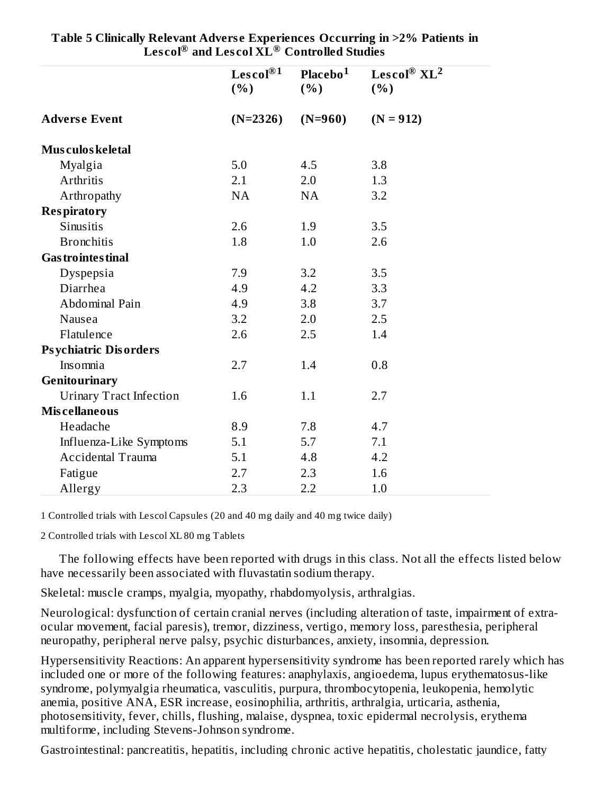|                                | Lescol® <sup>1</sup><br>(%) | Placebo <sup>1</sup><br>(% ) | Lescol® $XL^2$<br>(%) |
|--------------------------------|-----------------------------|------------------------------|-----------------------|
| <b>Adverse Event</b>           | $(N=2326)$                  | $(N=960)$                    | $(N = 912)$           |
| Mus culos keletal              |                             |                              |                       |
| Myalgia                        | 5.0                         | 4.5                          | 3.8                   |
| Arthritis                      | 2.1                         | 2.0                          | 1.3                   |
| Arthropathy                    | NA                          | <b>NA</b>                    | 3.2                   |
| <b>Respiratory</b>             |                             |                              |                       |
| Sinusitis                      | 2.6                         | 1.9                          | 3.5                   |
| <b>Bronchitis</b>              | 1.8                         | 1.0                          | 2.6                   |
| <b>Gas trointes tinal</b>      |                             |                              |                       |
| Dyspepsia                      | 7.9                         | 3.2                          | 3.5                   |
| Diarrhea                       | 4.9                         | 4.2                          | 3.3                   |
| Abdominal Pain                 | 4.9                         | 3.8                          | 3.7                   |
| Nausea                         | 3.2                         | 2.0                          | 2.5                   |
| Flatulence                     | 2.6                         | 2.5                          | 1.4                   |
| <b>Psychiatric Disorders</b>   |                             |                              |                       |
| Insomnia                       | 2.7                         | 1.4                          | 0.8                   |
| Genitourinary                  |                             |                              |                       |
| <b>Urinary Tract Infection</b> | 1.6                         | 1.1                          | 2.7                   |
| <b>Miscellaneous</b>           |                             |                              |                       |
| Headache                       | 8.9                         | 7.8                          | 4.7                   |
| Influenza-Like Symptoms        | 5.1                         | 5.7                          | 7.1                   |
| <b>Accidental Trauma</b>       | 5.1                         | 4.8                          | 4.2                   |
| Fatigue                        | 2.7                         | 2.3                          | 1.6                   |
| Allergy                        | 2.3                         | 2.2                          | 1.0                   |

**Table 5 Clinically Relevant Advers e Experiences Occurring in >2% Patients in Les col and Les col XL Controlled Studies ® ®**

1 Controlled trials with Lescol Capsules (20 and 40 mg daily and 40 mg twice daily)

2 Controlled trials with Lescol XL 80 mg Tablets

The following effects have been reported with drugs in this class. Not all the effects listed below have necessarily been associated with fluvastatin sodium therapy.

Skeletal: muscle cramps, myalgia, myopathy, rhabdomyolysis, arthralgias.

Neurological: dysfunction of certain cranial nerves (including alteration of taste, impairment of extraocular movement, facial paresis), tremor, dizziness, vertigo, memory loss, paresthesia, peripheral neuropathy, peripheral nerve palsy, psychic disturbances, anxiety, insomnia, depression.

Hypersensitivity Reactions: An apparent hypersensitivity syndrome has been reported rarely which has included one or more of the following features: anaphylaxis, angioedema, lupus erythematosus-like syndrome, polymyalgia rheumatica, vasculitis, purpura, thrombocytopenia, leukopenia, hemolytic anemia, positive ANA, ESR increase, eosinophilia, arthritis, arthralgia, urticaria, asthenia, photosensitivity, fever, chills, flushing, malaise, dyspnea, toxic epidermal necrolysis, erythema multiforme, including Stevens-Johnson syndrome.

Gastrointestinal: pancreatitis, hepatitis, including chronic active hepatitis, cholestatic jaundice, fatty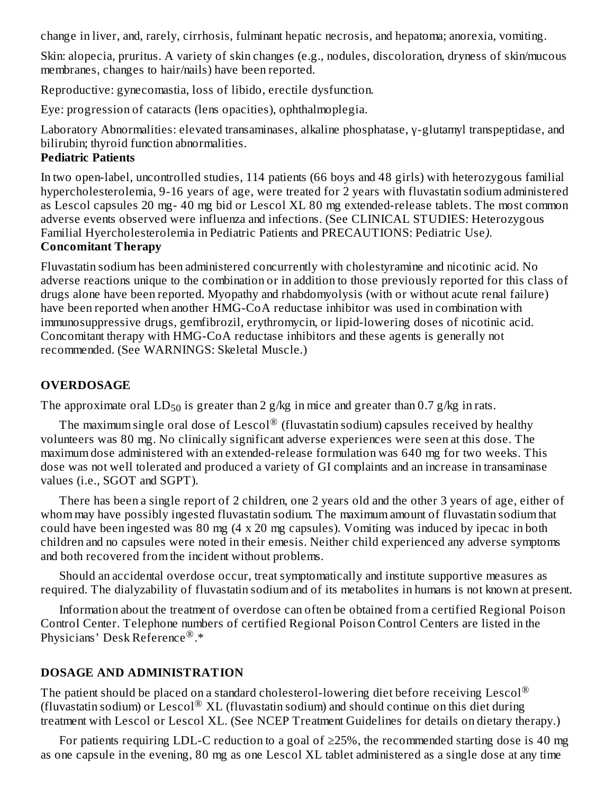change in liver, and, rarely, cirrhosis, fulminant hepatic necrosis, and hepatoma; anorexia, vomiting.

Skin: alopecia, pruritus. A variety of skin changes (e.g., nodules, discoloration, dryness of skin/mucous membranes, changes to hair/nails) have been reported.

Reproductive: gynecomastia, loss of libido, erectile dysfunction.

Eye: progression of cataracts (lens opacities), ophthalmoplegia.

Laboratory Abnormalities: elevated transaminases, alkaline phosphatase, γ-glutamyl transpeptidase, and bilirubin; thyroid function abnormalities.

#### **Pediatric Patients**

In two open-label, uncontrolled studies, 114 patients (66 boys and 48 girls) with heterozygous familial hypercholesterolemia, 9-16 years of age, were treated for 2 years with fluvastatin sodium administered as Lescol capsules 20 mg- 40 mg bid or Lescol XL 80 mg extended-release tablets. The most common adverse events observed were influenza and infections. (See CLINICAL STUDIES: Heterozygous Familial Hyercholesterolemia in Pediatric Patients and PRECAUTIONS: Pediatric Use*)*. **Concomitant Therapy**

Fluvastatin sodium has been administered concurrently with cholestyramine and nicotinic acid. No adverse reactions unique to the combination or in addition to those previously reported for this class of drugs alone have been reported. Myopathy and rhabdomyolysis (with or without acute renal failure) have been reported when another HMG-CoA reductase inhibitor was used in combination with immunosuppressive drugs, gemfibrozil, erythromycin, or lipid-lowering doses of nicotinic acid. Concomitant therapy with HMG-CoA reductase inhibitors and these agents is generally not recommended. (See WARNINGS: Skeletal Muscle.)

### **OVERDOSAGE**

The approximate oral  $LD_{50}$  is greater than 2 g/kg in mice and greater than 0.7 g/kg in rats.

The maximum single oral dose of Lescol $^\circledR$  (fluvastatin sodium) capsules received by healthy volunteers was 80 mg. No clinically significant adverse experiences were seen at this dose. The maximum dose administered with an extended-release formulation was 640 mg for two weeks. This dose was not well tolerated and produced a variety of GI complaints and an increase in transaminase values (i.e., SGOT and SGPT).

There has been a single report of 2 children, one 2 years old and the other 3 years of age, either of whom may have possibly ingested fluvastatin sodium. The maximum amount of fluvastatin sodium that could have been ingested was 80 mg (4 x 20 mg capsules). Vomiting was induced by ipecac in both children and no capsules were noted in their emesis. Neither child experienced any adverse symptoms and both recovered from the incident without problems.

Should an accidental overdose occur, treat symptomatically and institute supportive measures as required. The dialyzability of fluvastatin sodium and of its metabolites in humans is not known at present.

Information about the treatment of overdose can often be obtained from a certified Regional Poison Control Center. Telephone numbers of certified Regional Poison Control Centers are listed in the Physicians' Desk Reference<sup>®</sup>.\*

#### **DOSAGE AND ADMINISTRATION**

The patient should be placed on a standard cholesterol-lowering diet before receiving Lescol $^\circledR$ (fluvastatin sodium) or Lescol® XL (fluvastatin sodium) and should continue on this diet during treatment with Lescol or Lescol XL. (See NCEP Treatment Guidelines for details on dietary therapy.)

For patients requiring LDL-C reduction to a goal of  $\geq$ 25%, the recommended starting dose is 40 mg as one capsule in the evening, 80 mg as one Lescol XL tablet administered as a single dose at any time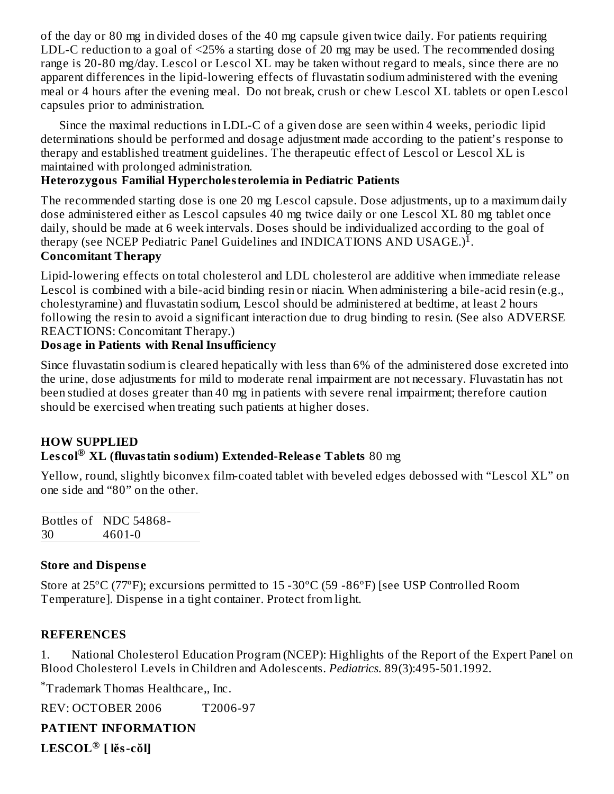of the day or 80 mg in divided doses of the 40 mg capsule given twice daily. For patients requiring LDL-C reduction to a goal of <25% a starting dose of 20 mg may be used. The recommended dosing range is 20-80 mg/day. Lescol or Lescol XL may be taken without regard to meals, since there are no apparent differences in the lipid-lowering effects of fluvastatin sodium administered with the evening meal or 4 hours after the evening meal. Do not break, crush or chew Lescol XL tablets or open Lescol capsules prior to administration.

Since the maximal reductions in LDL-C of a given dose are seen within 4 weeks, periodic lipid determinations should be performed and dosage adjustment made according to the patient's response to therapy and established treatment guidelines. The therapeutic effect of Lescol or Lescol XL is maintained with prolonged administration.

### **Heterozygous Familial Hypercholesterolemia in Pediatric Patients**

The recommended starting dose is one 20 mg Lescol capsule. Dose adjustments, up to a maximum daily dose administered either as Lescol capsules 40 mg twice daily or one Lescol XL 80 mg tablet once daily, should be made at 6 week intervals. Doses should be individualized according to the goal of therapy (see NCEP Pediatric Panel Guidelines and INDICATIONS AND USAGE.)<sup>I</sup>.

#### **Concomitant Therapy**

Lipid-lowering effects on total cholesterol and LDL cholesterol are additive when immediate release Lescol is combined with a bile-acid binding resin or niacin. When administering a bile-acid resin (e.g., cholestyramine) and fluvastatin sodium, Lescol should be administered at bedtime, at least 2 hours following the resin to avoid a significant interaction due to drug binding to resin. (See also ADVERSE REACTIONS: Concomitant Therapy.)

#### **Dosage in Patients with Renal Insufficiency**

Since fluvastatin sodium is cleared hepatically with less than 6% of the administered dose excreted into the urine, dose adjustments for mild to moderate renal impairment are not necessary. Fluvastatin has not been studied at doses greater than 40 mg in patients with severe renal impairment; therefore caution should be exercised when treating such patients at higher doses.

#### **HOW SUPPLIED Les col XL (fluvastatin sodium) Extended-Releas e Tablets** 80 mg **®**

Yellow, round, slightly biconvex film-coated tablet with beveled edges debossed with "Lescol XL" on one side and "80" on the other.

Bottles of NDC 54868- 30 4601-0

#### **Store and Dispens e**

Store at 25ºC (77ºF); excursions permitted to 15 -30ºC (59 -86ºF) [see USP Controlled Room Temperature]. Dispense in a tight container. Protect from light.

#### **REFERENCES**

1. National Cholesterol Education Program (NCEP): Highlights of the Report of the Expert Panel on Blood Cholesterol Levels in Children and Adolescents. *Pediatrics*. 89(3):495-501.1992.

Trademark Thomas Healthcare,, Inc. \*

REV: OCTOBER 2006 T2006-97

#### **PATIENT INFORMATION**

**LESCOL [ lĕs-cŏl] ®**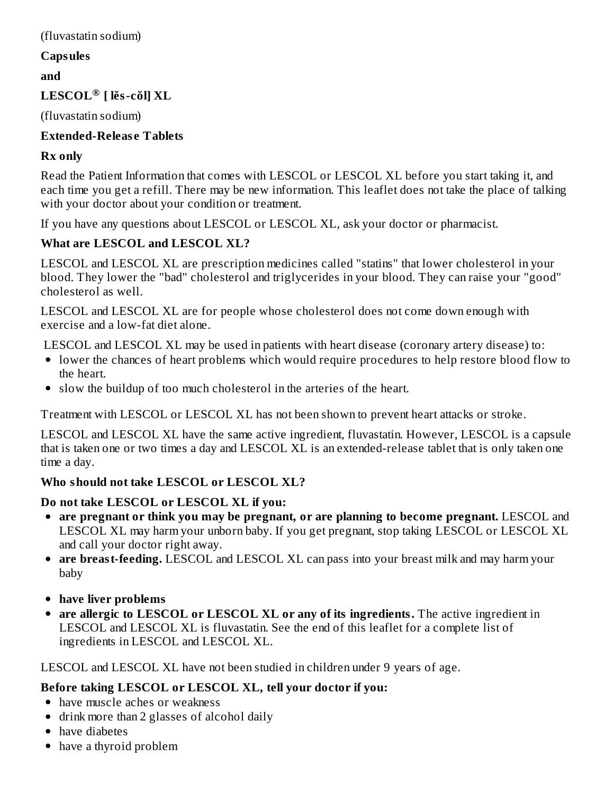#### (fluvastatin sodium)

#### **Capsules**

**and**

### **LESCOL [ lĕs-cŏl] XL ®**

(fluvastatin sodium)

### **Extended-Releas e Tablets**

### **Rx only**

Read the Patient Information that comes with LESCOL or LESCOL XL before you start taking it, and each time you get a refill. There may be new information. This leaflet does not take the place of talking with your doctor about your condition or treatment.

If you have any questions about LESCOL or LESCOL XL, ask your doctor or pharmacist.

### **What are LESCOL and LESCOL XL?**

LESCOL and LESCOL XL are prescription medicines called "statins" that lower cholesterol in your blood. They lower the "bad" cholesterol and triglycerides in your blood. They can raise your "good" cholesterol as well.

LESCOL and LESCOL XL are for people whose cholesterol does not come down enough with exercise and a low-fat diet alone.

LESCOL and LESCOL XL may be used in patients with heart disease (coronary artery disease) to:

- lower the chances of heart problems which would require procedures to help restore blood flow to the heart.
- slow the buildup of too much cholesterol in the arteries of the heart.

Treatment with LESCOL or LESCOL XL has not been shown to prevent heart attacks or stroke.

LESCOL and LESCOL XL have the same active ingredient, fluvastatin. However, LESCOL is a capsule that is taken one or two times a day and LESCOL XL is an extended-release tablet that is only taken one time a day.

### **Who should not take LESCOL or LESCOL XL?**

### **Do not take LESCOL or LESCOL XL if you:**

- **are pregnant or think you may be pregnant, or are planning to become pregnant.** LESCOL and LESCOL XL may harm your unborn baby. If you get pregnant, stop taking LESCOL or LESCOL XL and call your doctor right away.
- **are breast-feeding.** LESCOL and LESCOL XL can pass into your breast milk and may harm your baby
- **have liver problems**
- **are allergic to LESCOL or LESCOL XL or any of its ingredients.** The active ingredient in LESCOL and LESCOL XL is fluvastatin. See the end of this leaflet for a complete list of ingredients in LESCOL and LESCOL XL.

LESCOL and LESCOL XL have not been studied in children under 9 years of age.

### **Before taking LESCOL or LESCOL XL, tell your doctor if you:**

- have muscle aches or weakness
- drink more than 2 glasses of alcohol daily
- have diabetes
- have a thyroid problem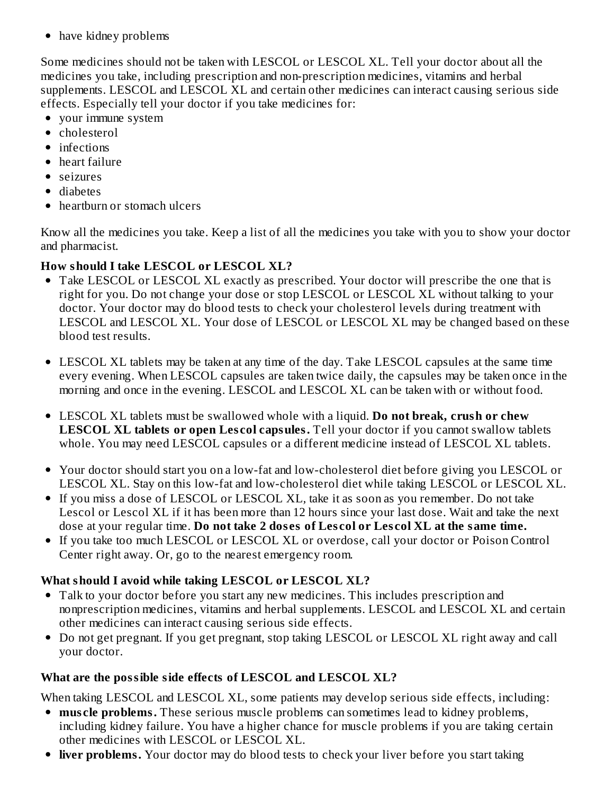• have kidney problems

Some medicines should not be taken with LESCOL or LESCOL XL. Tell your doctor about all the medicines you take, including prescription and non-prescription medicines, vitamins and herbal supplements. LESCOL and LESCOL XL and certain other medicines can interact causing serious side effects. Especially tell your doctor if you take medicines for:

- your immune system
- cholesterol
- infections
- heart failure
- seizures
- diabetes
- hearthurn or stomach ulcers

Know all the medicines you take. Keep a list of all the medicines you take with you to show your doctor and pharmacist.

### **How should I take LESCOL or LESCOL XL?**

- Take LESCOL or LESCOL XL exactly as prescribed. Your doctor will prescribe the one that is right for you. Do not change your dose or stop LESCOL or LESCOL XL without talking to your doctor. Your doctor may do blood tests to check your cholesterol levels during treatment with LESCOL and LESCOL XL. Your dose of LESCOL or LESCOL XL may be changed based on these blood test results.
- LESCOL XL tablets may be taken at any time of the day. Take LESCOL capsules at the same time every evening. When LESCOL capsules are taken twice daily, the capsules may be taken once in the morning and once in the evening. LESCOL and LESCOL XL can be taken with or without food.
- LESCOL XL tablets must be swallowed whole with a liquid. **Do not break, crush or chew LESCOL XL tablets or open Les col capsules.** Tell your doctor if you cannot swallow tablets whole. You may need LESCOL capsules or a different medicine instead of LESCOL XL tablets.
- Your doctor should start you on a low-fat and low-cholesterol diet before giving you LESCOL or LESCOL XL. Stay on this low-fat and low-cholesterol diet while taking LESCOL or LESCOL XL.
- If you miss a dose of LESCOL or LESCOL XL*,* take it as soon as you remember. Do not take Lescol or Lescol XL if it has been more than 12 hours since your last dose. Wait and take the next dose at your regular time. **Do not take 2 dos es of Les col or Les col XL at the same time.**
- If you take too much LESCOL or LESCOL XL or overdose, call your doctor or Poison Control Center right away. Or, go to the nearest emergency room.

### **What should I avoid while taking LESCOL or LESCOL XL?**

- Talk to your doctor before you start any new medicines. This includes prescription and nonprescription medicines, vitamins and herbal supplements. LESCOL and LESCOL XL and certain other medicines can interact causing serious side effects.
- Do not get pregnant. If you get pregnant, stop taking LESCOL or LESCOL XL right away and call your doctor.

### **What are the possible side effects of LESCOL and LESCOL XL?**

When taking LESCOL and LESCOL XL, some patients may develop serious side effects, including:

- **muscle problems.** These serious muscle problems can sometimes lead to kidney problems, including kidney failure. You have a higher chance for muscle problems if you are taking certain other medicines with LESCOL or LESCOL XL.
- **liver problems.** Your doctor may do blood tests to check your liver before you start taking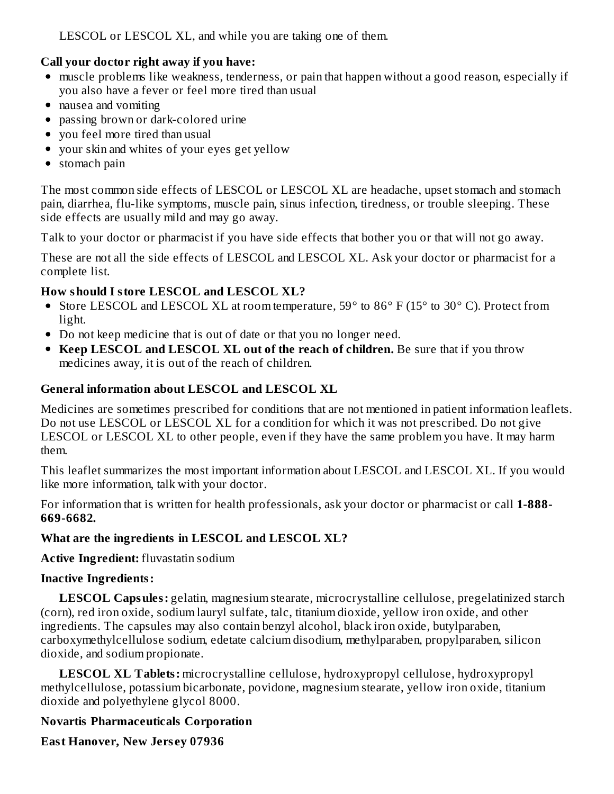LESCOL or LESCOL XL, and while you are taking one of them.

#### **Call your doctor right away if you have:**

- muscle problems like weakness, tenderness, or pain that happen without a good reason, especially if you also have a fever or feel more tired than usual
- nausea and vomiting
- passing brown or dark-colored urine
- you feel more tired than usual
- your skin and whites of your eyes get yellow
- stomach pain

The most common side effects of LESCOL or LESCOL XL are headache, upset stomach and stomach pain, diarrhea, flu-like symptoms, muscle pain, sinus infection, tiredness, or trouble sleeping. These side effects are usually mild and may go away.

Talk to your doctor or pharmacist if you have side effects that bother you or that will not go away.

These are not all the side effects of LESCOL and LESCOL XL. Ask your doctor or pharmacist for a complete list.

### **How should I store LESCOL and LESCOL XL?**

- Store LESCOL and LESCOL XL at room temperature, 59° to 86° F (15° to 30° C). Protect from light.
- Do not keep medicine that is out of date or that you no longer need.
- **Keep LESCOL and LESCOL XL out of the reach of children.** Be sure that if you throw medicines away, it is out of the reach of children.

### **General information about LESCOL and LESCOL XL**

Medicines are sometimes prescribed for conditions that are not mentioned in patient information leaflets. Do not use LESCOL or LESCOL XL for a condition for which it was not prescribed. Do not give LESCOL or LESCOL XL to other people, even if they have the same problem you have. It may harm them.

This leaflet summarizes the most important information about LESCOL and LESCOL XL. If you would like more information, talk with your doctor.

For information that is written for health professionals, ask your doctor or pharmacist or call **1-888- 669-6682.**

#### **What are the ingredients in LESCOL and LESCOL XL?**

**Active Ingredient:** fluvastatin sodium

### **Inactive Ingredients:**

**LESCOL Capsules:** gelatin, magnesium stearate, microcrystalline cellulose, pregelatinized starch (corn), red iron oxide, sodium lauryl sulfate, talc, titanium dioxide, yellow iron oxide, and other ingredients. The capsules may also contain benzyl alcohol, black iron oxide, butylparaben, carboxymethylcellulose sodium, edetate calcium disodium, methylparaben, propylparaben, silicon dioxide, and sodium propionate.

**LESCOL XL Tablets:** microcrystalline cellulose, hydroxypropyl cellulose, hydroxypropyl methylcellulose, potassium bicarbonate, povidone, magnesium stearate, yellow iron oxide, titanium dioxide and polyethylene glycol 8000.

### **Novartis Pharmaceuticals Corporation**

**East Hanover, New Jers ey 07936**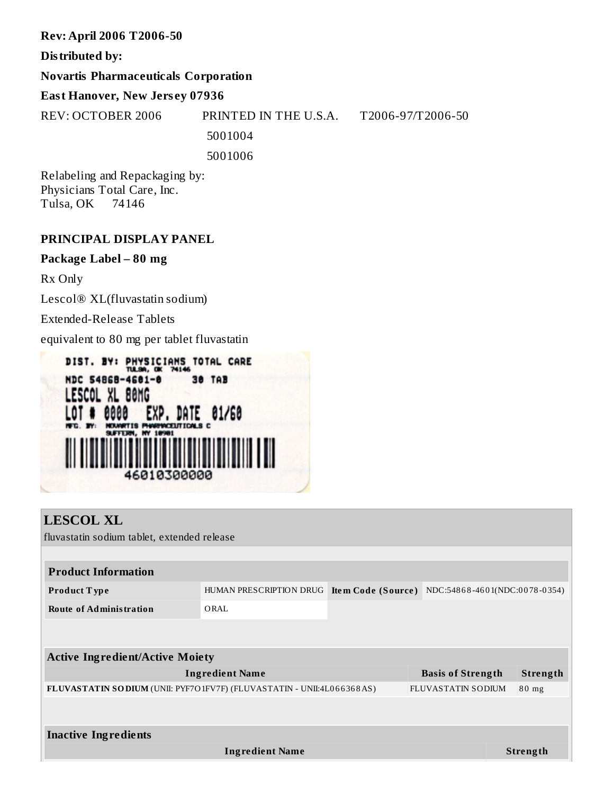#### **Rev: April 2006 T2006-50**

#### **Distributed by:**

#### **Novartis Pharmaceuticals Corporation**

### **East Hanover, New Jers ey 07936**

REV: OCTOBER 2006 PRINTED IN THE U.S.A. T2006-97/T2006-50 5001004 5001006

Relabeling and Repackaging by: Physicians Total Care, Inc. Tulsa, OK 74146

#### **PRINCIPAL DISPLAY PANEL**

#### **Package Label – 80 mg**

Rx Only

Lescol® XL(fluvastatin sodium)

Extended-Release Tablets

equivalent to 80 mg per tablet fluvastatin



| <b>LESCOL XL</b>                                                        |                                            |                               |          |
|-------------------------------------------------------------------------|--------------------------------------------|-------------------------------|----------|
| fluvastatin sodium tablet, extended release                             |                                            |                               |          |
|                                                                         |                                            |                               |          |
| <b>Product Information</b>                                              |                                            |                               |          |
| Product Type                                                            | HUMAN PRESCRIPTION DRUG Item Code (Source) | NDC:54868-4601(NDC:0078-0354) |          |
| <b>Route of Administration</b>                                          | ORAL                                       |                               |          |
|                                                                         |                                            |                               |          |
|                                                                         |                                            |                               |          |
| <b>Active Ingredient/Active Moiety</b>                                  |                                            |                               |          |
|                                                                         | <b>Ingredient Name</b>                     | <b>Basis of Strength</b>      | Strength |
| FLUVASTATIN SO DIUM (UNII: PYF7O 1FV7F) (FLUVASTATIN - UNII:4L066368AS) |                                            | <b>FLUVASTATIN SODIUM</b>     | $80$ mg  |
|                                                                         |                                            |                               |          |
| <b>Inactive Ingredients</b>                                             |                                            |                               |          |
|                                                                         | <b>Ingredient Name</b>                     |                               | Strength |